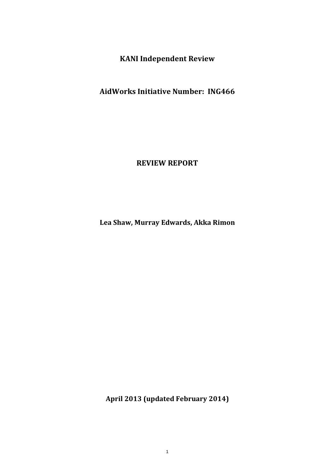**KANI Independent Review**

**AidWorks Initiative Number: ING466**

**REVIEW REPORT**

**Lea Shaw, Murray Edwards, Akka Rimon**

**April 2013 (updated February 2014)**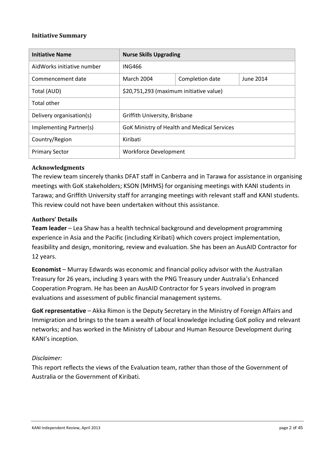### **Initiative Summary**

| <b>Initiative Name</b>     | <b>Nurse Skills Upgrading</b>                      |  |  |
|----------------------------|----------------------------------------------------|--|--|
| AidWorks initiative number | <b>ING466</b>                                      |  |  |
| Commencement date          | <b>March 2004</b><br>Completion date<br>June 2014  |  |  |
| Total (AUD)                | \$20,751,293 (maximum initiative value)            |  |  |
| Total other                |                                                    |  |  |
| Delivery organisation(s)   | Griffith University, Brisbane                      |  |  |
| Implementing Partner(s)    | <b>GoK Ministry of Health and Medical Services</b> |  |  |
| Country/Region             | Kiribati                                           |  |  |
| <b>Primary Sector</b>      | Workforce Development                              |  |  |

#### **Acknowledgments**

The review team sincerely thanks DFAT staff in Canberra and in Tarawa for assistance in organising meetings with GoK stakeholders; KSON (MHMS) for organising meetings with KANI students in Tarawa; and Griffith University staff for arranging meetings with relevant staff and KANI students. This review could not have been undertaken without this assistance.

#### **Authors' Details**

**Team leader** – Lea Shaw has a health technical background and development programming experience in Asia and the Pacific (including Kiribati) which covers project implementation, feasibility and design, monitoring, review and evaluation. She has been an AusAID Contractor for 12 years.

**Economist** – Murray Edwards was economic and financial policy advisor with the Australian Treasury for 26 years, including 3 years with the PNG Treasury under Australia's Enhanced Cooperation Program. He has been an AusAID Contractor for 5 years involved in program evaluations and assessment of public financial management systems.

**GoK representative** – Akka Rimon is the Deputy Secretary in the Ministry of Foreign Affairs and Immigration and brings to the team a wealth of local knowledge including GoK policy and relevant networks; and has worked in the Ministry of Labour and Human Resource Development during KANI's inception.

### *Disclaimer:*

This report reflects the views of the Evaluation team, rather than those of the Government of Australia or the Government of Kiribati.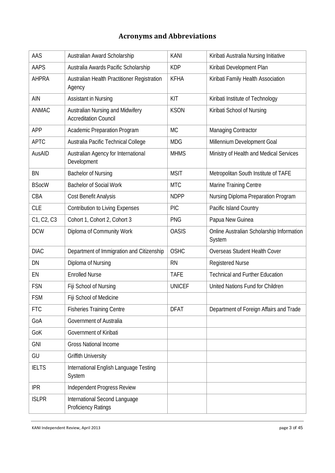# **Acronyms and Abbreviations**

| AAS          | Australian Award Scholarship                                     | <b>KANI</b>   | Kiribati Australia Nursing Initiative               |
|--------------|------------------------------------------------------------------|---------------|-----------------------------------------------------|
| <b>AAPS</b>  | Australia Awards Pacific Scholarship                             | <b>KDP</b>    | Kiribati Development Plan                           |
| <b>AHPRA</b> | Australian Health Practitioner Registration<br>Agency            | <b>KFHA</b>   | Kiribati Family Health Association                  |
| AIN          | Assistant in Nursing                                             | KIT           | Kiribati Institute of Technology                    |
| <b>ANMAC</b> | Australian Nursing and Midwifery<br><b>Accreditation Council</b> | <b>KSON</b>   | Kiribati School of Nursing                          |
| APP          | Academic Preparation Program                                     | <b>MC</b>     | Managing Contractor                                 |
| <b>APTC</b>  | Australia Pacific Technical College                              | <b>MDG</b>    | Millennium Development Goal                         |
| AusAID       | Australian Agency for International<br>Development               | <b>MHMS</b>   | Ministry of Health and Medical Services             |
| BN           | <b>Bachelor of Nursing</b>                                       | <b>MSIT</b>   | Metropolitan South Institute of TAFE                |
| <b>BSocW</b> | <b>Bachelor of Social Work</b>                                   | <b>MTC</b>    | Marine Training Centre                              |
| CBA          | Cost Benefit Analysis                                            | <b>NDPP</b>   | Nursing Diploma Preparation Program                 |
| <b>CLE</b>   | <b>Contribution to Living Expenses</b>                           | <b>PIC</b>    | Pacific Island Country                              |
| C1, C2, C3   | Cohort 1, Cohort 2, Cohort 3                                     | <b>PNG</b>    | Papua New Guinea                                    |
| <b>DCW</b>   | Diploma of Community Work                                        | <b>OASIS</b>  | Online Australian Scholarship Information<br>System |
| <b>DIAC</b>  | Department of Immigration and Citizenship                        | <b>OSHC</b>   | Overseas Student Health Cover                       |
| DN           | Diploma of Nursing                                               | <b>RN</b>     | <b>Registered Nurse</b>                             |
| EN           | <b>Enrolled Nurse</b>                                            | <b>TAFE</b>   | <b>Technical and Further Education</b>              |
| <b>FSN</b>   | Fiji School of Nursing                                           | <b>UNICEF</b> | United Nations Fund for Children                    |
| <b>FSM</b>   | Fiji School of Medicine                                          |               |                                                     |
| <b>FTC</b>   | <b>Fisheries Training Centre</b>                                 | <b>DFAT</b>   | Department of Foreign Affairs and Trade             |
| GoA          | Government of Australia                                          |               |                                                     |
| GoK          | Government of Kiribati                                           |               |                                                     |
| <b>GNI</b>   | <b>Gross National Income</b>                                     |               |                                                     |
| GU           | <b>Griffith University</b>                                       |               |                                                     |
| <b>IELTS</b> | International English Language Testing<br>System                 |               |                                                     |
| <b>IPR</b>   | Independent Progress Review                                      |               |                                                     |
| <b>ISLPR</b> | International Second Language<br><b>Proficiency Ratings</b>      |               |                                                     |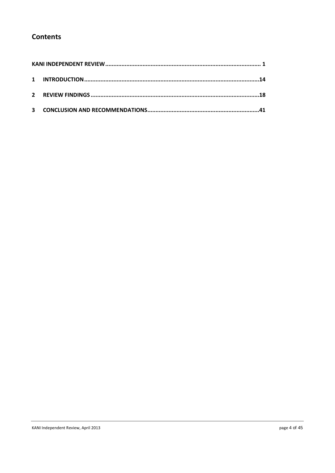# **Contents**

| $\mathbf{2}$ |  |
|--------------|--|
| $\mathbf{3}$ |  |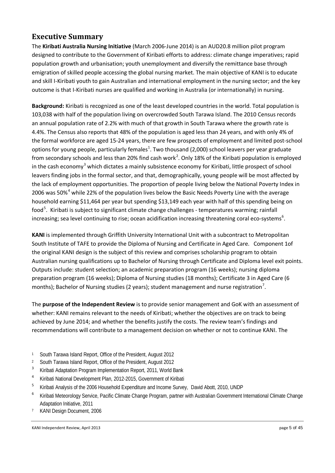# **Executive Summary**

The **Kiribati Australia Nursing Initiative** (March 2006-June 2014) is an AUD20.8 million pilot program designed to contribute to the Government of Kiribati efforts to address: climate change imperatives; rapid population growth and urbanisation; youth unemployment and diversify the remittance base through emigration of skilled people accessing the global nursing market. The main objective of KANI is to educate and skill I-Kiribati youth to gain Australian and international employment in the nursing sector; and the key outcome is that I-Kiribati nurses are qualified and working in Australia (or internationally) in nursing.

**Background:** Kiribati is recognized as one of the least developed countries in the world. Total population is 103,038 with half of the population living on overcrowded South Tarawa Island. The 2010 Census records an annual population rate of 2.2% with much of that growth in South Tarawa where the growth rate is 4.4%. The Census also reports that 48% of the population is aged less than 24 years, and with only 4% of the formal workforce are aged 15-24 years, there are few prospects of employment and limited post-school options for young people, particularly females<sup>[1](#page-4-0)</sup>. Two thousand (2,000) school leavers per year graduate from secondary schools and less than [2](#page-4-1)0% find cash work<sup>2</sup>. Only 18% of the Kiribati population is employed in the cash economy<sup>[3](#page-4-2)</sup> which dictates a mainly subsistence economy for Kiribati, little prospect of school leavers finding jobs in the formal sector, and that, demographically, young people will be most affected by the lack of employment opportunities. The proportion of people living below the National Poverty Index in 2006 was 50% $^4$  $^4$  while 22% of the population lives below the Basic Needs Poverty Line with the average household earning \$11,464 per year but spending \$13,149 each year with half of this spending being on food<sup>[5](#page-4-4)</sup>. Kiribati is subject to significant climate change challenges - temperatures warming; rainfall increasing; sea level continuing to rise; ocean acidification increasing threatening coral eco-systems<sup>[6](#page-4-5)</sup>.

**KANI** is implemented through Griffith University International Unit with a subcontract to Metropolitan South Institute of TAFE to provide the Diploma of Nursing and Certificate in Aged Care. Component 1of the original KANI design is the subject of this review and comprises scholarship program to obtain Australian nursing qualifications up to Bachelor of Nursing through Certificate and Diploma level exit points. Outputs include: student selection; an academic preparation program (16 weeks); nursing diploma preparation program (16 weeks); Diploma of Nursing studies (18 months); Certificate 3 in Aged Care (6 months); Bachelor of Nursing studies (2 years); student management and nurse registration<sup>[7](#page-4-6)</sup>.

The **purpose of the Independent Review** is to provide senior management and GoK with an assessment of whether: KANI remains relevant to the needs of Kiribati; whether the objectives are on track to being achieved by June 2014; and whether the benefits justify the costs. The review team's findings and recommendations will contribute to a management decision on whether or not to continue KANI. The

- <span id="page-4-0"></span><sup>1</sup> South Tarawa Island Report, Office of the President, August 2012
- <span id="page-4-1"></span><sup>2</sup> South Tarawa Island Report, Office of the President, August 2012
- <span id="page-4-2"></span><sup>3</sup> Kiribati Adaptation Program Implementation Report, 2011, World Bank
- <span id="page-4-3"></span><sup>4</sup> Kiribati National Development Plan, 2012-2015, Government of Kiribati
- <span id="page-4-4"></span><sup>5</sup> Kiribati Analysis of the 2006 Household Expenditure and Income Survey, David Abott, 2010, UNDP
- <span id="page-4-5"></span><sup>6</sup> Kiribati Meteorology Service, Pacific Climate Change Program, partner with Australian Government International Climate Change Adaptation Initiative, 2011
- <span id="page-4-6"></span><sup>7</sup> KANI Design Document, 2006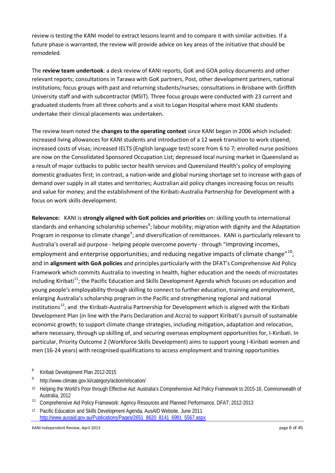review is testing the KANI model to extract lessons learnt and to compare it with similar activities. If a future phase is warranted, the review will provide advice on key areas of the initiative that should be remodeled.

The **review team undertook**: a desk review of KANI reports, GoK and GOA policy documents and other relevant reports; consultations in Tarawa with GoK partners, Post, other development partners, national institutions; focus groups with past and returning students/nurses; consultations in Brisbane with Griffith University staff and with subcontractor (MSIT). Three focus groups were conducted with 23 current and graduated students from all three cohorts and a visit to Logan Hospital where most KANI students undertake their clinical placements was undertaken.

The review team noted the **changes to the operating context** since KANI began in 2006 which included: increased living allowances for KANI students and introduction of a 12 week transition to work stipend; increased costs of visas; increased IELTS (English language test) score from 6 to 7; enrolled nurse positions are now on the Consolidated Sponsored Occupation List; depressed local nursing market in Queensland as a result of major cutbacks to public sector health services and Queensland Health's policy of employing domestic graduates first; in contrast, a nation-wide and global nursing shortage set to increase with gaps of demand over supply in all states and territories; Australian aid policy changes increasing focus on results and value for money; and the establishment of the Kiribati-Australia Partnership for Development with a focus on work skills development.

**Relevance:** KANI is **strongly aligned with GoK policies and priorities** on: skilling youth to international standards and enhancing scholarship schemes<sup>[8](#page-5-0)</sup>; labour mobility; migration with dignity and the Adaptation Program in response to climate change<sup>[9](#page-5-1)</sup>; and diversification of remittances. KANI is particularly relevant to Australia's overall aid purpose - helping people overcome poverty - through "improving incomes, employment and enterprise opportunities; and reducing negative impacts of climate change"<sup>[10](#page-5-2)</sup>; and in **alignment with GoA policies** and principles particularly with the DFAT's Comprehensive Aid Policy Framework which commits Australia to investing in health, higher education and the needs of microstates including Kiribati<sup>[11](#page-5-3)</sup>; the Pacific Education and Skills Development Agenda which focuses on education and young people's employability through skilling to connect to further education, training and employment, enlarging Australia's scholarship program in the Pacific and strengthening regional and national institutions<sup>12</sup>; and the Kiribati-Australia Partnership for Development which is aligned with the Kiribati Development Plan (in line with the Paris Declaration and Accra) to support Kiribati's pursuit of sustainable economic growth; to support climate change strategies, including mitigation, adaptation and relocation, where necessary, through up skilling of, and securing overseas employment opportunities for, I-Kiribati. In particular, Priority Outcome 2 (Workforce Skills Development) aims to support young I-Kiribati women and men (16-24 years) with recognised qualifications to access employment and training opportunities

- <span id="page-5-0"></span><sup>8</sup> Kiribati Development Plan 2012-2015
- <span id="page-5-1"></span><sup>9</sup> http://www.climate.gov.ki/category/action/relocation/
- <span id="page-5-2"></span><sup>10</sup> Helping the World's Poor through Effective Aid: Australia's Comprehensive Aid Policy Framework to 2015-16, Commonwealth of Australia, 2012
- <span id="page-5-3"></span><sup>11</sup> Comprehensive Aid Policy Framework: Agency Resources and Planned Performance, DFAT, 2012-2013
- <span id="page-5-4"></span><sup>12</sup> Pacific Education and Skills Development Agenda, AusAID Website, June 2011 [http://www.ausaid.gov.au/Publications/Pages/2651\\_8620\\_8141\\_6991\\_5567.aspx](http://www.ausaid.gov.au/Publications/Pages/2651_8620_8141_6991_5567.aspx)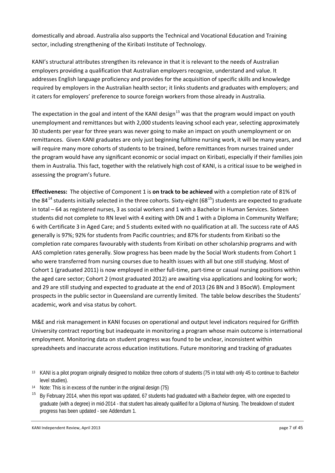domestically and abroad. Australia also supports the Technical and Vocational Education and Training sector, including strengthening of the Kiribati Institute of Technology.

KANI's structural attributes strengthen its relevance in that it is relevant to the needs of Australian employers providing a qualification that Australian employers recognize, understand and value. It addresses English language proficiency and provides for the acquisition of specific skills and knowledge required by employers in the Australian health sector; it links students and graduates with employers; and it caters for employers' preference to source foreign workers from those already in Australia.

The expectation in the goal and intent of the KANI design<sup>[13](#page-6-0)</sup> was that the program would impact on youth unemployment and remittances but with 2,000 students leaving school each year, selecting approximately 30 students per year for three years was never going to make an impact on youth unemployment or on remittances. Given KANI graduates are only just beginning fulltime nursing work, it will be many years, and will require many more cohorts of students to be trained, before remittances from nurses trained under the program would have any significant economic or social impact on Kiribati, especially if their families join them in Australia. This fact, together with the relatively high cost of KANI, is a critical issue to be weighed in assessing the program's future.

**Effectiveness:** The objective of Component 1 is **on track to be achieved** with a completion rate of 81% of the 84<sup>[14](#page-6-1)</sup> students initially selected in the three cohorts. Sixty-eight (68<sup>[15](#page-6-2)</sup>) students are expected to graduate in total – 64 as registered nurses, 3 as social workers and 1 with a Bachelor in Human Services. Sixteen students did not complete to RN level with 4 exiting with DN and 1 with a Diploma in Community Welfare; 6 with Certificate 3 in Aged Care; and 5 students exited with no qualification at all. The success rate of AAS generally is 97%; 92% for students from Pacific countries; and 87% for students from Kiribati so the completion rate compares favourably with students from Kiribati on other scholarship programs and with AAS completion rates generally. Slow progress has been made by the Social Work students from Cohort 1 who were transferred from nursing courses due to health issues with all but one still studying. Most of Cohort 1 (graduated 2011) is now employed in either full-time, part-time or casual nursing positions within the aged care sector; Cohort 2 (most graduated 2012) are awaiting visa applications and looking for work; and 29 are still studying and expected to graduate at the end of 2013 (26 BN and 3 BSocW). Employment prospects in the public sector in Queensland are currently limited. The table below describes the Students' academic, work and visa status by cohort.

M&E and risk management in KANI focuses on operational and output level indicators required for Griffith University contract reporting but inadequate in monitoring a program whose main outcome is international employment. Monitoring data on student progress was found to be unclear, inconsistent within spreadsheets and inaccurate across education institutions. Future monitoring and tracking of graduates

- <span id="page-6-1"></span><sup>14</sup> Note: This is in excess of the number in the original design (75)
- <span id="page-6-2"></span><sup>15</sup> By February 2014, when this report was updated, 67 students had graduated with a Bachelor degree, with one expected to graduate (with a degree) in mid-2014 - that student has already qualified for a Diploma of Nursing. The breakdown of student progress has been updated - see Addendum 1.

KANI Independent Review, April 2013 by a state of the state of the state of the state of the state of the state of the state of the state of the state of the state of the state of the state of the state of the state of the

<span id="page-6-0"></span><sup>&</sup>lt;sup>13</sup> KANI is a pilot program originally designed to mobilize three cohorts of students (75 in total with only 45 to continue to Bachelor level studies).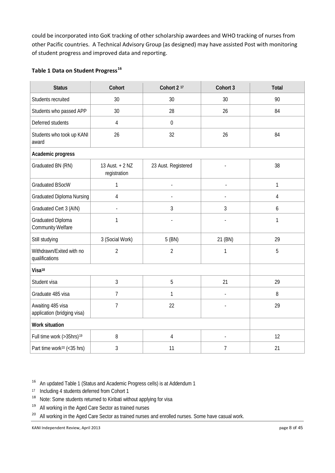could be incorporated into GoK tracking of other scholarship awardees and WHO tracking of nurses from other Pacific countries. A Technical Advisory Group (as designed) may have assisted Post with monitoring of student progress and improved data and reporting.

### **Table 1 Data on Student Progress[16](#page-7-0)**

| <b>Status</b>                                    | Cohort                          | Cohort 2 <sup>17</sup>   | Cohort 3                 | <b>Total</b>     |
|--------------------------------------------------|---------------------------------|--------------------------|--------------------------|------------------|
| Students recruited                               | 30                              | 30                       | 30                       | 90               |
| Students who passed APP                          | 30                              | 28                       | 26                       | 84               |
| Deferred students                                | $\overline{4}$                  | $\mathbf 0$              |                          |                  |
| Students who took up KANI<br>award               | 26                              | 32                       | 26                       | 84               |
| Academic progress                                |                                 |                          |                          |                  |
| Graduated BN (RN)                                | 13 Aust. + 2 NZ<br>registration | 23 Aust. Registered      |                          | 38               |
| <b>Graduated BSocW</b>                           | 1                               | $\overline{\phantom{a}}$ | $\overline{a}$           | 1                |
| Graduated Diploma Nursing                        | 4                               |                          | $\overline{a}$           | $\overline{4}$   |
| Graduated Cert 3 (AIN)                           |                                 | 3                        | 3                        | $\boldsymbol{6}$ |
| Graduated Diploma<br>Community Welfare           | 1                               | ÷,                       | $\overline{a}$           | 1                |
| Still studying                                   | 3 (Social Work)                 | 5 (BN)                   | 21 (BN)                  | 29               |
| Withdrawn/Exited with no<br>qualifications       | $\overline{2}$                  | $\overline{2}$           | 1                        | 5                |
| Visa <sup>18</sup>                               |                                 |                          |                          |                  |
| Student visa                                     | 3                               | 5                        | 21                       | 29               |
| Graduate 485 visa                                | $\overline{7}$                  | 1                        | $\overline{\phantom{a}}$ | 8                |
| Awaiting 485 visa<br>application (bridging visa) | $\overline{7}$                  | 22                       |                          | 29               |
| Work situation                                   |                                 |                          |                          |                  |
| Full time work (>35hrs) <sup>19</sup>            | 8                               | 4                        | $\blacksquare$           | 12               |
| Part time work <sup>20</sup> (<35 hrs)           | $\mathfrak{Z}$                  | 11                       | 7                        | 21               |

<span id="page-7-0"></span><sup>16</sup> An updated Table 1 (Status and Academic Progress cells) is at Addendum 1

- <span id="page-7-2"></span><span id="page-7-1"></span>17 Including 4 students deferred from Cohort 1<br> $^{18}$  Note: Some students returned to Kiribati with
- Note: Some students returned to Kiribati without applying for visa
- <span id="page-7-3"></span><sup>19</sup> All working in the Aged Care Sector as trained nurses
- <span id="page-7-4"></span><sup>20</sup> All working in the Aged Care Sector as trained nurses and enrolled nurses. Some have casual work.

KANI Independent Review, April 2013 page 8 of 45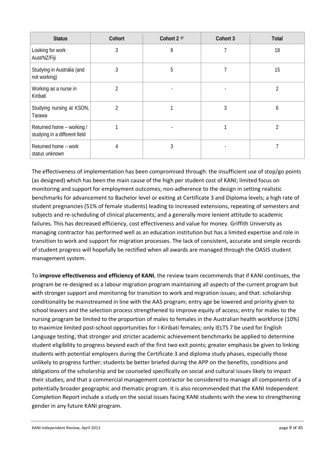| <b>Status</b>                                              | Cohort         | Cohort 2 <sup>17</sup> | Cohort 3 | Total |
|------------------------------------------------------------|----------------|------------------------|----------|-------|
| Looking for work<br>Aust/NZ/Fiji                           | 3              | 8                      |          | 18    |
| Studying in Australia (and<br>not working)                 | 3              | 5                      |          | 15    |
| Working as a nurse in<br>Kiribati                          | $\mathfrak{D}$ |                        |          | 2     |
| Studying nursing at KSON,<br>Tarawa                        | $\mathfrak{D}$ |                        | 3        | 6     |
| Returned home - working /<br>studying in a different field |                |                        |          | 2     |
| Returned home - work<br>status unknown                     | 4              | 3                      |          |       |

The effectiveness of implementation has been compromised through: the insufficient use of stop/go points (as designed) which has been the main cause of the high per student cost of KANI; limited focus on monitoring and support for employment outcomes; non-adherence to the design in setting realistic benchmarks for advancement to Bachelor level or exiting at Certificate 3 and Diploma levels; a high rate of student pregnancies (51% of female students) leading to increased extensions, repeating of semesters and subjects and re-scheduling of clinical placements; and a generally more lenient attitude to academic failures. This has decreased efficiency, cost effectiveness and value for money. Griffith University as managing contractor has performed well as an education institution but has a limited expertise and role in transition to work and support for migration processes. The lack of consistent, accurate and simple records of student progress will hopefully be rectified when all awards are managed through the OASIS student management system.

To **improve effectiveness and efficiency of KANI**, the review team recommends that if KANI continues, the program be re-designed as a labour migration program maintaining all aspects of the current program but with stronger support and monitoring for transition to work and migration issues; and that: scholarship conditionality be mainstreamed in line with the AAS program; entry age be lowered and priority given to school leavers and the selection process strengthened to improve equity of access; entry for males to the nursing program be limited to the proportion of males to females in the Australian health workforce (10%) to maximize limited post-school opportunities for I-Kiribati females; only IELTS 7 be used for English Language testing; that stronger and stricter academic achievement benchmarks be applied to determine student eligibility to progress beyond each of the first two exit points; greater emphasis be given to linking students with potential employers during the Certificate 3 and diploma study phases, especially those unlikely to progress further; students be better briefed during the APP on the benefits, conditions and obligations of the scholarship and be counseled specifically on social and cultural issues likely to impact their studies; and that a commercial management contractor be considered to manage all components of a potentially broader geographic and thematic program. It is also recommended that the KANI Independent Completion Report include a study on the social issues facing KANI students with the view to strengthening gender in any future KANI program.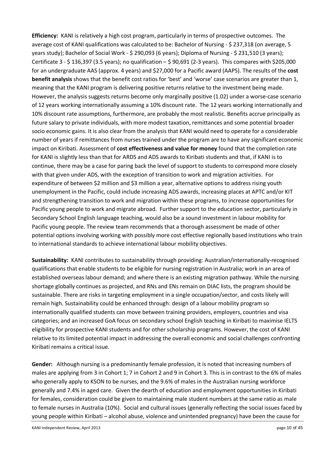**Efficiency:** KANI is relatively a high cost program, particularly in terms of prospective outcomes. The average cost of KANI qualifications was calculated to be: Bachelor of Nursing - \$ 237,318 (on average, 5 years study); Bachelor of Social Work - \$ 290,093 (6 years); Diploma of Nursing - \$ 231,510 (3 years); Certificate 3 - \$ 136,397 (3.5 years); no qualification – \$ 90,691 (2-3 years). This compares with \$205,000 for an undergraduate AAS (approx. 4 years) and \$27,000 for a Pacific award (AAPS). The results of the **cost benefit analysis** shows that the benefit cost ratios for 'best' and 'worse' case scenarios are greater than 1, meaning that the KANI program is delivering positive returns relative to the investment being made. However, the analysis suggests returns become only marginally positive (1.02) under a worse-case scenario of 12 years working internationally assuming a 10% discount rate. The 12 years working internationally and 10% discount rate assumptions, furthermore, are probably the most realistic. Benefits accrue principally as future salary to private individuals, with more modest taxation, remittances and some potential broader socio economic gains. It is also clear from the analysis that KANI would need to operate for a considerable number of years if remittances from nurses trained under the program are to have any significant economic impact on Kiribati. Assessment of **cost effectiveness and value for money** found that the completion rate for KANI is slightly less than that for ARDS and ADS awards to Kiribati students and that, if KANI is to continue, there may be a case for paring back the level of support to students to correspond more closely with that given under ADS, with the exception of transition to work and migration activities. For expenditure of between \$2 million and \$3 million a year, alternative options to address rising youth unemployment in the Pacific, could include increasing ADS awards, increasing places at APTC and/or KIT and strengthening transition to work and migration within these programs, to increase opportunities for Pacific young people to work and migrate abroad. Further support to the education sector, particularly in Secondary School English language teaching, would also be a sound investment in labour mobility for Pacific young people. The review team recommends that a thorough assessment be made of other potential options involving working with possibly more cost effective regionally based institutions who train to international standards to achieve international labour mobility objectives.

**Sustainability:** KANI contributes to sustainability through providing: Australian/internationally-recognised qualifications that enable students to be eligible for nursing registration in Australia; work in an area of established overseas labour demand; and where there is an existing migration pathway. While the nursing shortage globally continues as projected, and RNs and ENs remain on DIAC lists, the program should be sustainable. There are risks in targeting employment in a single occupation/sector, and costs likely will remain high. Sustainability could be enhanced through: design of a labour mobility program so internationally qualified students can move between training providers, employers, countries and visa categories; and an increased GoA focus on secondary school English teaching in Kiribati to maximise IELTS eligibility for prospective KANI students and for other scholarship programs. However, the cost of KANI relative to its limited potential impact in addressing the overall economic and social challenges confronting Kiribati remains a critical issue.

**Gender:** Although nursing is a predominantly female profession, it is noted that increasing numbers of males are applying from 3 in Cohort 1; 7 in Cohort 2 and 9 in Cohort 3. This is in contrast to the 6% of males who generally apply to KSON to be nurses, and the 9.6% of males in the Australian nursing workforce generally and 7.4% in aged care. Given the dearth of education and employment opportunities in Kiribati for females, consideration could be given to maintaining male student numbers at the same ratio as male to female nurses in Australia (10%). Social and cultural issues (generally reflecting the social issues faced by young people within Kiribati – alcohol abuse, violence and unintended pregnancy) have been the cause for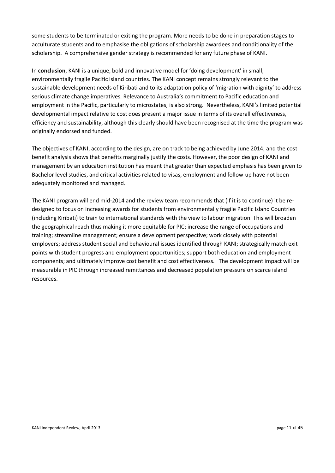some students to be terminated or exiting the program. More needs to be done in preparation stages to acculturate students and to emphasise the obligations of scholarship awardees and conditionality of the scholarship. A comprehensive gender strategy is recommended for any future phase of KANI.

In **conclusion**, KANI is a unique, bold and innovative model for 'doing development' in small, environmentally fragile Pacific island countries. The KANI concept remains strongly relevant to the sustainable development needs of Kiribati and to its adaptation policy of 'migration with dignity' to address serious climate change imperatives. Relevance to Australia's commitment to Pacific education and employment in the Pacific, particularly to microstates, is also strong. Nevertheless, KANI's limited potential developmental impact relative to cost does present a major issue in terms of its overall effectiveness, efficiency and sustainability, although this clearly should have been recognised at the time the program was originally endorsed and funded.

The objectives of KANI, according to the design, are on track to being achieved by June 2014; and the cost benefit analysis shows that benefits marginally justify the costs. However, the poor design of KANI and management by an education institution has meant that greater than expected emphasis has been given to Bachelor level studies, and critical activities related to visas, employment and follow-up have not been adequately monitored and managed.

The KANI program will end mid-2014 and the review team recommends that (if it is to continue) it be redesigned to focus on increasing awards for students from environmentally fragile Pacific Island Countries (including Kiribati) to train to international standards with the view to labour migration. This will broaden the geographical reach thus making it more equitable for PIC; increase the range of occupations and training; streamline management; ensure a development perspective; work closely with potential employers; address student social and behavioural issues identified through KANI; strategically match exit points with student progress and employment opportunities; support both education and employment components; and ultimately improve cost benefit and cost effectiveness. The development impact will be measurable in PIC through increased remittances and decreased population pressure on scarce island resources.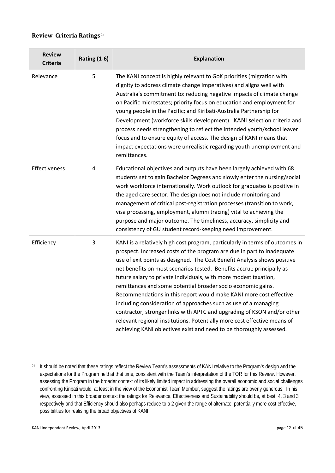### **Review Criteria Ratings[21](#page-11-0)**

| <b>Review</b><br><b>Criteria</b> | <b>Rating (1-6)</b> | <b>Explanation</b>                                                                                                                                                                                                                                                                                                                                                                                                                                                                                                                                                                                                                                                                                                                                                                                                     |
|----------------------------------|---------------------|------------------------------------------------------------------------------------------------------------------------------------------------------------------------------------------------------------------------------------------------------------------------------------------------------------------------------------------------------------------------------------------------------------------------------------------------------------------------------------------------------------------------------------------------------------------------------------------------------------------------------------------------------------------------------------------------------------------------------------------------------------------------------------------------------------------------|
| Relevance                        | 5                   | The KANI concept is highly relevant to GoK priorities (migration with<br>dignity to address climate change imperatives) and aligns well with<br>Australia's commitment to: reducing negative impacts of climate change<br>on Pacific microstates; priority focus on education and employment for<br>young people in the Pacific; and Kiribati-Australia Partnership for<br>Development (workforce skills development). KANI selection criteria and<br>process needs strengthening to reflect the intended youth/school leaver<br>focus and to ensure equity of access. The design of KANI means that<br>impact expectations were unrealistic regarding youth unemployment and<br>remittances.                                                                                                                          |
| Effectiveness                    | $\overline{4}$      | Educational objectives and outputs have been largely achieved with 68<br>students set to gain Bachelor Degrees and slowly enter the nursing/social<br>work workforce internationally. Work outlook for graduates is positive in<br>the aged care sector. The design does not include monitoring and<br>management of critical post-registration processes (transition to work,<br>visa processing, employment, alumni tracing) vital to achieving the<br>purpose and major outcome. The timeliness, accuracy, simplicity and<br>consistency of GU student record-keeping need improvement.                                                                                                                                                                                                                             |
| Efficiency                       | 3                   | KANI is a relatively high cost program, particularly in terms of outcomes in<br>prospect. Increased costs of the program are due in part to inadequate<br>use of exit points as designed. The Cost Benefit Analysis shows positive<br>net benefits on most scenarios tested. Benefits accrue principally as<br>future salary to private individuals, with more modest taxation,<br>remittances and some potential broader socio economic gains.<br>Recommendations in this report would make KANI more cost effective<br>including consideration of approaches such as use of a managing<br>contractor, stronger links with APTC and upgrading of KSON and/or other<br>relevant regional institutions. Potentially more cost effective means of<br>achieving KANI objectives exist and need to be thoroughly assessed. |

<span id="page-11-0"></span><sup>21</sup> It should be noted that these ratings reflect the Review Team's assessments of KANI relative to the Program's design and the expectations for the Program held at that time, consistent with the Team's interpretation of the TOR for this Review. However, assessing the Program in the broader context of its likely limited impact in addressing the overall economic and social challenges confronting Kiribati would, at least in the view of the Economist Team Member, suggest the ratings are overly generous. In his view, assessed in this broader context the ratings for Relevance, Effectiveness and Sustainability should be, at best, 4, 3 and 3 respectively and that Efficiency should also perhaps reduce to a 2 given the range of alternate, potentially more cost effective, possibilities for realising the broad objectives of KANI.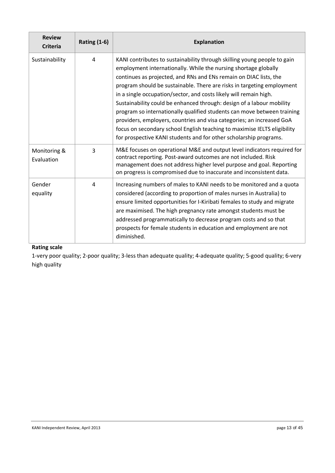| <b>Review</b><br><b>Criteria</b> | <b>Rating (1-6)</b> | <b>Explanation</b>                                                                                                                                                                                                                                                                                                                                                                                                                                                                                                                                                                                                                                                                                                                            |
|----------------------------------|---------------------|-----------------------------------------------------------------------------------------------------------------------------------------------------------------------------------------------------------------------------------------------------------------------------------------------------------------------------------------------------------------------------------------------------------------------------------------------------------------------------------------------------------------------------------------------------------------------------------------------------------------------------------------------------------------------------------------------------------------------------------------------|
| Sustainability                   | 4                   | KANI contributes to sustainability through skilling young people to gain<br>employment internationally. While the nursing shortage globally<br>continues as projected, and RNs and ENs remain on DIAC lists, the<br>program should be sustainable. There are risks in targeting employment<br>in a single occupation/sector, and costs likely will remain high.<br>Sustainability could be enhanced through: design of a labour mobility<br>program so internationally qualified students can move between training<br>providers, employers, countries and visa categories; an increased GoA<br>focus on secondary school English teaching to maximise IELTS eligibility<br>for prospective KANI students and for other scholarship programs. |
| Monitoring &<br>Evaluation       | 3                   | M&E focuses on operational M&E and output level indicators required for<br>contract reporting. Post-award outcomes are not included. Risk<br>management does not address higher level purpose and goal. Reporting<br>on progress is compromised due to inaccurate and inconsistent data.                                                                                                                                                                                                                                                                                                                                                                                                                                                      |
| Gender<br>equality               | 4                   | Increasing numbers of males to KANI needs to be monitored and a quota<br>considered (according to proportion of males nurses in Australia) to<br>ensure limited opportunities for I-Kiribati females to study and migrate<br>are maximised. The high pregnancy rate amongst students must be<br>addressed programmatically to decrease program costs and so that<br>prospects for female students in education and employment are not<br>diminished.                                                                                                                                                                                                                                                                                          |

# **Rating scale**

1-very poor quality; 2-poor quality; 3-less than adequate quality; 4-adequate quality; 5-good quality; 6-very high quality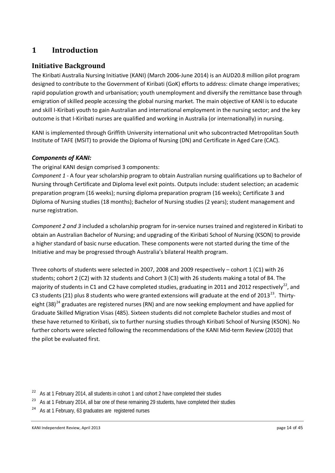# **1 Introduction**

# **Initiative Background**

The Kiribati Australia Nursing Initiative (KANI) (March 2006-June 2014) is an AUD20.8 million pilot program designed to contribute to the Government of Kiribati (GoK) efforts to address: climate change imperatives; rapid population growth and urbanisation; youth unemployment and diversify the remittance base through emigration of skilled people accessing the global nursing market. The main objective of KANI is to educate and skill I-Kiribati youth to gain Australian and international employment in the nursing sector; and the key outcome is that I-Kiribati nurses are qualified and working in Australia (or internationally) in nursing.

KANI is implemented through Griffith University international unit who subcontracted Metropolitan South Institute of TAFE (MSIT) to provide the Diploma of Nursing (DN) and Certificate in Aged Care (CAC).

### *Components of KANI:*

The original KANI design comprised 3 components:

*Component 1* - A four year scholarship program to obtain Australian nursing qualifications up to Bachelor of Nursing through Certificate and Diploma level exit points. Outputs include: student selection; an academic preparation program (16 weeks); nursing diploma preparation program (16 weeks); Certificate 3 and Diploma of Nursing studies (18 months); Bachelor of Nursing studies (2 years); student management and nurse registration.

*Component 2 and 3* included a scholarship program for in-service nurses trained and registered in Kiribati to obtain an Australian Bachelor of Nursing; and upgrading of the Kiribati School of Nursing (KSON) to provide a higher standard of basic nurse education. These components were not started during the time of the Initiative and may be progressed through Australia's bilateral Health program.

Three cohorts of students were selected in 2007, 2008 and 2009 respectively – cohort 1 (C1) with 26 students; cohort 2 (C2) with 32 students and Cohort 3 (C3) with 26 students making a total of 84. The majority of students in C1 and C2 have completed studies, graduating in 2011 and 2012 respectively<sup>22</sup>, and C3 students (21) plus 8 students who were granted extensions will graduate at the end of 2013<sup>23</sup>. Thirty-eight (38)<sup>[24](#page-13-2)</sup> graduates are registered nurses (RN) and are now seeking employment and have applied for Graduate Skilled Migration Visas (485). Sixteen students did not complete Bachelor studies and most of these have returned to Kiribati, six to further nursing studies through Kiribati School of Nursing (KSON). No further cohorts were selected following the recommendations of the KANI Mid-term Review (2010) that the pilot be evaluated first.

<span id="page-13-1"></span><sup>23</sup> As at 1 February 2014, all bar one of these remaining 29 students, have completed their studies

<span id="page-13-2"></span><sup>24</sup> As at 1 February, 63 graduates are registered nurses

<span id="page-13-0"></span><sup>&</sup>lt;sup>22</sup> As at 1 February 2014, all students in cohort 1 and cohort 2 have completed their studies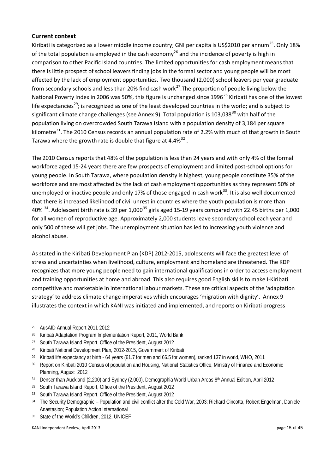### **Current context**

Kiribati is categorized as a lower middle income country; GNI per capita is US\$2010 per annum<sup>[25](#page-14-0)</sup>. Only 18% of the total population is employed in the cash economy<sup>[26](#page-14-1)</sup> and the incidence of poverty is high in comparison to other Pacific Island countries. The limited opportunities for cash employment means that there is little prospect of school leavers finding jobs in the formal sector and young people will be most affected by the lack of employment opportunities. Two thousand (2,000) school leavers per year graduate from secondary schools and less than 20% find cash work<sup>[27](#page-14-2)</sup>. The proportion of people living below the National Poverty Index in 2006 was 50%, this figure is unchanged since 1996<sup>[28](#page-14-3)</sup> Kiribati has one of the lowest life expectancies<sup>[29](#page-14-4)</sup>; is recognized as one of the least developed countries in the world; and is subject to significant climate change challenges (see Annex 9). Total population is 103,038<sup>[30](#page-14-5)</sup> with half of the population living on overcrowded South Tarawa Island with a population density of 3,184 per square kilometre<sup>31</sup>. The 2010 Census records an annual population rate of 2.2% with much of that growth in South Tarawa where the growth rate is double that figure at  $4.4\%^{32}$  $4.4\%^{32}$  $4.4\%^{32}$ .

The 2010 Census reports that 48% of the population is less than 24 years and with only 4% of the formal workforce aged 15-24 years there are few prospects of employment and limited post-school options for young people. In South Tarawa, where population density is highest, young people constitute 35% of the workforce and are most affected by the lack of cash employment opportunities as they represent 50% of unemployed or inactive people and only 17% of those engaged in cash work $^{33}$ . It is also well documented that there is increased likelihood of civil unrest in countries where the youth population is more than 40%<sup>34</sup>. Adolescent birth rate is 39 per 1,000<sup>[35](#page-14-10)</sup> girls aged 15-19 years compared with 22.45 births per 1,000 for all women of reproductive age. Approximately 2,000 students leave secondary school each year and only 500 of these will get jobs. The unemployment situation has led to increasing youth violence and alcohol abuse.

As stated in the Kiribati Development Plan (KDP) 2012-2015, adolescents will face the greatest level of stress and uncertainties when livelihood, culture, employment and homeland are threatened. The KDP recognizes that more young people need to gain international qualifications in order to access employment and training opportunities at home and abroad. This also requires good English skills to make I-Kiribati competitive and marketable in international labour markets. These are critical aspects of the 'adaptation strategy' to address climate change imperatives which encourages 'migration with dignity'. Annex 9 illustrates the context in which KANI was initiated and implemented, and reports on Kiribati progress

- <span id="page-14-0"></span><sup>25</sup> AusAID Annual Report 2011-2012
- <span id="page-14-1"></span><sup>26</sup> Kiribati Adaptation Program Implementation Report, 2011, World Bank
- <span id="page-14-2"></span><sup>27</sup> South Tarawa Island Report, Office of the President, August 2012
- <span id="page-14-3"></span><sup>28</sup> Kiribati National Development Plan, 2012-2015, Government of Kiribati
- <span id="page-14-4"></span><sup>29</sup> Kiribati life expectancy at birth - 64 years (61.7 for men and 66.5 for women), ranked 137 in world, WHO, 2011
- <span id="page-14-5"></span><sup>30</sup> Report on Kiribati 2010 Census of population and Housing, National Statistics Office, Ministry of Finance and Economic Planning, August 2012
- <span id="page-14-6"></span>31 Denser than Auckland (2,200) and Sydney (2,000), Demographia World Urban Areas 8th Annual Edition, April 2012
- <span id="page-14-7"></span><sup>32</sup> South Tarawa Island Report, Office of the President, August 2012
- <span id="page-14-8"></span><sup>33</sup> South Tarawa Island Report, Office of the President, August 2012
- <span id="page-14-9"></span>34 The Security Demographic – Population and civil conflict after the Cold War, 2003; Richard Cincotta, Robert Engelman, Daniele Anastasion; Population Action International
- <span id="page-14-10"></span><sup>35</sup> State of the World's Children, 2012, UNICEF

KANI Independent Review, April 2013 **blue 15 of 45** contact the state of 45 contact the page 15 of 45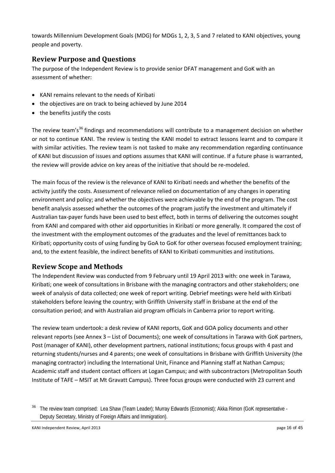towards Millennium Development Goals (MDG) for MDGs 1, 2, 3, 5 and 7 related to KANI objectives, young people and poverty.

# **Review Purpose and Questions**

The purpose of the Independent Review is to provide senior DFAT management and GoK with an assessment of whether:

- KANI remains relevant to the needs of Kiribati
- the objectives are on track to being achieved by June 2014
- the benefits justify the costs

The review team's<sup>[36](#page-15-0)</sup> findings and recommendations will contribute to a management decision on whether or not to continue KANI. The review is testing the KANI model to extract lessons learnt and to compare it with similar activities. The review team is not tasked to make any recommendation regarding continuance of KANI but discussion of issues and options assumes that KANI will continue. If a future phase is warranted, the review will provide advice on key areas of the initiative that should be re-modeled.

The main focus of the review is the relevance of KANI to Kiribati needs and whether the benefits of the activity justify the costs. Assessment of relevance relied on documentation of any changes in operating environment and policy; and whether the objectives were achievable by the end of the program. The cost benefit analysis assessed whether the outcomes of the program justify the investment and ultimately if Australian tax-payer funds have been used to best effect, both in terms of delivering the outcomes sought from KANI and compared with other aid opportunities in Kiribati or more generally. It compared the cost of the investment with the employment outcomes of the graduates and the level of remittances back to Kiribati; opportunity costs of using funding by GoA to GoK for other overseas focused employment training; and, to the extent feasible, the indirect benefits of KANI to Kiribati communities and institutions.

### **Review Scope and Methods**

The Independent Review was conducted from 9 February until 19 April 2013 with: one week in Tarawa, Kiribati; one week of consultations in Brisbane with the managing contractors and other stakeholders; one week of analysis of data collected; one week of report writing. Debrief meetings were held with Kiribati stakeholders before leaving the country; with Griffith University staff in Brisbane at the end of the consultation period; and with Australian aid program officials in Canberra prior to report writing.

The review team undertook: a desk review of KANI reports, GoK and GOA policy documents and other relevant reports (see Annex 3 – List of Documents); one week of consultations in Tarawa with GoK partners, Post (manager of KANI), other development partners, national institutions; focus groups with 4 past and returning students/nurses and 4 parents; one week of consultations in Brisbane with Griffith University (the managing contractor) including the International Unit, Finance and Planning staff at Nathan Campus; Academic staff and student contact officers at Logan Campus; and with subcontractors (Metropolitan South Institute of TAFE – MSIT at Mt Gravatt Campus). Three focus groups were conducted with 23 current and

<span id="page-15-0"></span><sup>&</sup>lt;sup>36</sup> The review team comprised: Lea Shaw (Team Leader); Murray Edwards (Economist); Akka Rimon (GoK representative -Deputy Secretary, Ministry of Foreign Affairs and Immigration).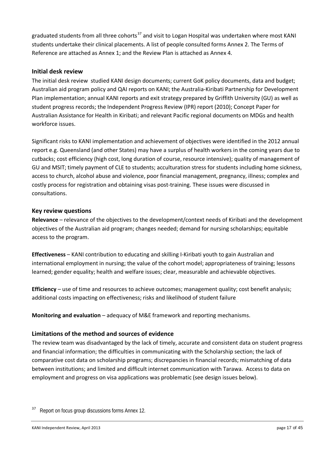graduated students from all three cohorts<sup>[37](#page-16-0)</sup> and visit to Logan Hospital was undertaken where most KANI students undertake their clinical placements. A list of people consulted forms Annex 2. The Terms of Reference are attached as Annex 1; and the Review Plan is attached as Annex 4.

### **Initial desk review**

The initial desk review studied KANI design documents; current GoK policy documents, data and budget; Australian aid program policy and QAI reports on KANI; the Australia-Kiribati Partnership for Development Plan implementation; annual KANI reports and exit strategy prepared by Griffith University (GU) as well as student progress records; the Independent Progress Review (IPR) report (2010); Concept Paper for Australian Assistance for Health in Kiribati; and relevant Pacific regional documents on MDGs and health workforce issues.

Significant risks to KANI implementation and achievement of objectives were identified in the 2012 annual report e.g. Queensland (and other States) may have a surplus of health workers in the coming years due to cutbacks; cost efficiency (high cost, long duration of course, resource intensive); quality of management of GU and MSIT; timely payment of CLE to students; acculturation stress for students including home sickness, access to church, alcohol abuse and violence, poor financial management, pregnancy, illness; complex and costly process for registration and obtaining visas post-training. These issues were discussed in consultations.

### **Key review questions**

**Relevance** – relevance of the objectives to the development/context needs of Kiribati and the development objectives of the Australian aid program; changes needed; demand for nursing scholarships; equitable access to the program.

**Effectiveness** – KANI contribution to educating and skilling I-Kiribati youth to gain Australian and international employment in nursing; the value of the cohort model; appropriateness of training; lessons learned; gender equality; health and welfare issues; clear, measurable and achievable objectives.

**Efficiency** – use of time and resources to achieve outcomes; management quality; cost benefit analysis; additional costs impacting on effectiveness; risks and likelihood of student failure

**Monitoring and evaluation** – adequacy of M&E framework and reporting mechanisms.

## **Limitations of the method and sources of evidence**

The review team was disadvantaged by the lack of timely, accurate and consistent data on student progress and financial information; the difficulties in communicating with the Scholarship section; the lack of comparative cost data on scholarship programs; discrepancies in financial records; mismatching of data between institutions; and limited and difficult internet communication with Tarawa. Access to data on employment and progress on visa applications was problematic (see design issues below).

<span id="page-16-0"></span><sup>&</sup>lt;sup>37</sup> Report on focus group discussions forms Annex 12.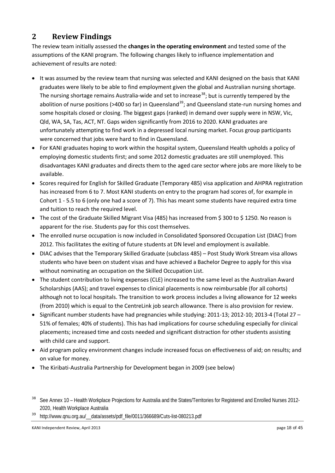# **2 Review Findings**

The review team initially assessed the **changes in the operating environment** and tested some of the assumptions of the KANI program. The following changes likely to influence implementation and achievement of results are noted:

- It was assumed by the review team that nursing was selected and KANI designed on the basis that KANI graduates were likely to be able to find employment given the global and Australian nursing shortage. The nursing shortage remains Australia-wide and set to increase<sup>[38](#page-17-0)</sup>; but is currently tempered by the abolition of nurse positions (>400 so far) in Queensland<sup>[39](#page-17-1)</sup>; and Queensland state-run nursing homes and some hospitals closed or closing. The biggest gaps (ranked) in demand over supply were in NSW, Vic, Qld, WA, SA, Tas, ACT, NT. Gaps widen significantly from 2016 to 2020. KANI graduates are unfortunately attempting to find work in a depressed local nursing market. Focus group participants were concerned that jobs were hard to find in Queensland.
- For KANI graduates hoping to work within the hospital system, Queensland Health upholds a policy of employing domestic students first; and some 2012 domestic graduates are still unemployed. This disadvantages KANI graduates and directs them to the aged care sector where jobs are more likely to be available.
- Scores required for English for Skilled Graduate (Temporary 485) visa application and AHPRA registration has increased from 6 to 7. Most KANI students on entry to the program had scores of, for example in Cohort 1 - 5.5 to 6 (only one had a score of 7). This has meant some students have required extra time and tuition to reach the required level.
- The cost of the Graduate Skilled Migrant Visa (485) has increased from \$300 to \$1250. No reason is apparent for the rise. Students pay for this cost themselves.
- The enrolled nurse occupation is now included in Consolidated Sponsored Occupation List (DIAC) from 2012. This facilitates the exiting of future students at DN level and employment is available.
- DIAC advises that the Temporary Skilled Graduate (subclass 485) Post Study Work Stream visa allows students who have been on student visas and have achieved a Bachelor Degree to apply for this visa without nominating an occupation on the Skilled Occupation List.
- The student contribution to living expenses (CLE) increased to the same level as the Australian Award Scholarships (AAS); and travel expenses to clinical placements is now reimbursable (for all cohorts) although not to local hospitals. The transition to work process includes a living allowance for 12 weeks (from 2010) which is equal to the CentreLink job search allowance. There is also provision for review.
- Significant number students have had pregnancies while studying: 2011-13; 2012-10; 2013-4 (Total 27 51% of females; 40% of students). This has had implications for course scheduling especially for clinical placements; increased time and costs needed and significant distraction for other students assisting with child care and support.
- Aid program policy environment changes include increased focus on effectiveness of aid; on results; and on value for money.
- The Kiribati-Australia Partnership for Development began in 2009 (see below)
- <span id="page-17-0"></span><sup>38</sup> See Annex 10 – Health Workplace Projections for Australia and the States/Territories for Registered and Enrolled Nurses 2012- 2020, Health Workplace Australia
- <span id="page-17-1"></span>http://www.gnu.org.au/ data/assets/pdf\_file/0011/366689/Cuts-list-080213.pdf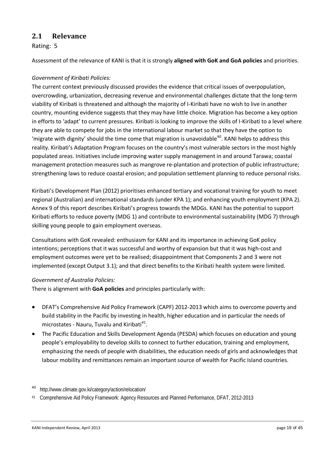## **2.1 Relevance**

Rating: 5

Assessment of the relevance of KANI is that it is strongly **aligned with GoK and GoA policies** and priorities.

### *Government of Kiribati Policies:*

The current context previously discussed provides the evidence that critical issues of overpopulation, overcrowding, urbanization, decreasing revenue and environmental challenges dictate that the long-term viability of Kiribati is threatened and although the majority of I-Kiribati have no wish to live in another country, mounting evidence suggests that they may have little choice. Migration has become a key option in efforts to 'adapt' to current pressures. Kiribati is looking to improve the skills of I-Kiribati to a level where they are able to compete for jobs in the international labour market so that they have the option to 'migrate with dignity' should the time come that migration is unavoidable<sup>[40](#page-18-0)</sup>. KANI helps to address this reality. Kiribati's Adaptation Program focuses on the country's most vulnerable sectors in the most highly populated areas. Initiatives include improving water supply management in and around Tarawa; coastal management protection measures such as mangrove re-plantation and protection of public infrastructure; strengthening laws to reduce coastal erosion; and population settlement planning to reduce personal risks.

Kiribati's Development Plan (2012) prioritises enhanced tertiary and vocational training for youth to meet regional (Australian) and international standards (under KPA 1); and enhancing youth employment (KPA 2). Annex 9 of this report describes Kiribati's progress towards the MDGs. KANI has the potential to support Kiribati efforts to reduce poverty (MDG 1) and contribute to environmental sustainability (MDG 7) through skilling young people to gain employment overseas.

Consultations with GoK revealed: enthusiasm for KANI and its importance in achieving GoK policy intentions; perceptions that it was successful and worthy of expansion but that it was high-cost and employment outcomes were yet to be realised; disappointment that Components 2 and 3 were not implemented (except Output 3.1); and that direct benefits to the Kiribati health system were limited.

### *Government of Australia Policies:*

There is alignment with **GoA policies** and principles particularly with:

- DFAT's Comprehensive Aid Policy Framework (CAPF) 2012-2013 which aims to overcome poverty and build stability in the Pacific by investing in health, higher education and in particular the needs of microstates - Nauru, Tuvalu and Kiribati $41$ .
- The Pacific Education and Skills Development Agenda (PESDA) which focuses on education and young people's employability to develop skills to connect to further education, training and employment, emphasizing the needs of people with disabilities, the education needs of girls and acknowledges that labour mobility and remittances remain an important source of wealth for Pacific Island countries.

<span id="page-18-0"></span>http://www.climate.gov.ki/category/action/relocation/

<span id="page-18-1"></span><sup>41</sup> Comprehensive Aid Policy Framework: Agency Resources and Planned Performance, DFAT, 2012-2013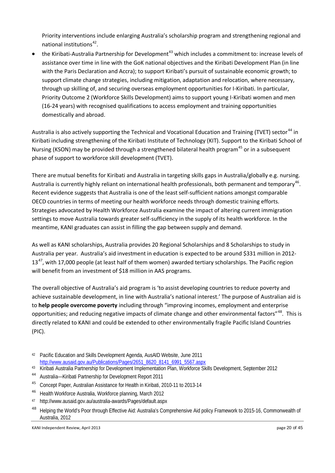Priority interventions include enlarging Australia's scholarship program and strengthening regional and national institutions<sup>42</sup>.

• the Kiribati-Australia Partnership for Development<sup>[43](#page-19-1)</sup> which includes a commitment to: increase levels of assistance over time in line with the GoK national objectives and the Kiribati Development Plan (in line with the Paris Declaration and Accra); to support Kiribati's pursuit of sustainable economic growth; to support climate change strategies, including mitigation, adaptation and relocation, where necessary, through up skilling of, and securing overseas employment opportunities for I-Kiribati. In particular, Priority Outcome 2 (Workforce Skills Development) aims to support young I-Kiribati women and men (16-24 years) with recognised qualifications to access employment and training opportunities domestically and abroad.

Australia is also actively supporting the Technical and Vocational Education and Training (TVET) sector<sup>[44](#page-19-2)</sup> in Kiribati including strengthening of the Kiribati Institute of Technology (KIT). Support to the Kiribati School of Nursing (KSON) may be provided through a strengthened bilateral health program<sup>[45](#page-19-3)</sup> or in a subsequent phase of support to workforce skill development (TVET).

There are mutual benefits for Kiribati and Australia in targeting skills gaps in Australia/globally e.g. nursing. Australia is currently highly reliant on international health professionals, both permanent and temporary<sup>46</sup>. Recent evidence suggests that Australia is one of the least self-sufficient nations amongst comparable OECD countries in terms of meeting our health workforce needs through domestic training efforts. Strategies advocated by Health Workforce Australia examine the impact of altering current immigration settings to move Australia towards greater self-sufficiency in the supply of its health workforce. In the meantime, KANI graduates can assist in filling the gap between supply and demand.

As well as KANI scholarships, Australia provides 20 Regional Scholarships and 8 Scholarships to study in Australia per year. Australia's aid investment in education is expected to be around \$331 million in 2012-  $13<sup>47</sup>$ , with 17,000 people (at least half of them women) awarded tertiary scholarships. The Pacific region will benefit from an investment of \$18 million in AAS programs.

The overall objective of Australia's aid program is 'to assist developing countries to reduce poverty and achieve sustainable development, in line with Australia's national interest.' The purpose of Australian aid is to **help people overcome poverty** including through "improving incomes, employment and enterprise opportunities; and reducing negative impacts of climate change and other environmental factors"<sup>[48](#page-19-6)</sup>. This is directly related to KANI and could be extended to other environmentally fragile Pacific Island Countries (PIC).

- <span id="page-19-1"></span><sup>43</sup> Kiribati Australia Partnership for Development Implementation Plan, Workforce Skills Development, September 2012
- <span id="page-19-2"></span><sup>44</sup> Australia—Kiribati Partnership for Development Report 2011
- <span id="page-19-3"></span><sup>45</sup> Concept Paper, Australian Assistance for Health in Kiribati, 2010-11 to 2013-14
- <span id="page-19-4"></span><sup>46</sup> Health Workforce Australia, Workforce planning, March 2012
- <span id="page-19-5"></span><sup>47</sup> http://www.ausaid.gov.au/australia-awards/Pages/default.aspx
- <span id="page-19-6"></span><sup>48</sup> Helping the World's Poor through Effective Aid: Australia's Comprehensive Aid policy Framework to 2015-16, Commonwealth of Australia, 2012

<span id="page-19-0"></span><sup>42</sup> Pacific Education and Skills Development Agenda, AusAID Website, June 2011 [http://www.ausaid.gov.au/Publications/Pages/2651\\_8620\\_8141\\_6991\\_5567.aspx](http://www.ausaid.gov.au/Publications/Pages/2651_8620_8141_6991_5567.aspx)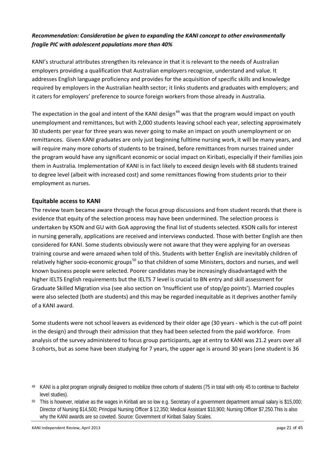### *Recommendation: Consideration be given to expanding the KANI concept to other environmentally fragile PIC with adolescent populations more than 40%*

KANI's structural attributes strengthen its relevance in that it is relevant to the needs of Australian employers providing a qualification that Australian employers recognize, understand and value. It addresses English language proficiency and provides for the acquisition of specific skills and knowledge required by employers in the Australian health sector; it links students and graduates with employers; and it caters for employers' preference to source foreign workers from those already in Australia.

The expectation in the goal and intent of the KANI design<sup>[49](#page-20-0)</sup> was that the program would impact on youth unemployment and remittances, but with 2,000 students leaving school each year, selecting approximately 30 students per year for three years was never going to make an impact on youth unemployment or on remittances. Given KANI graduates are only just beginning fulltime nursing work, it will be many years, and will require many more cohorts of students to be trained, before remittances from nurses trained under the program would have any significant economic or social impact on Kiribati, especially if their families join them in Australia. Implementation of KANI is in fact likely to exceed design levels with 68 students trained to degree level (albeit with increased cost) and some remittances flowing from students prior to their employment as nurses.

### **Equitable access to KANI**

The review team became aware through the focus group discussions and from student records that there is evidence that equity of the selection process may have been undermined. The selection process is undertaken by KSON and GU with GoA approving the final list of students selected. KSON calls for interest in nursing generally, applications are received and interviews conducted. Those with better English are then considered for KANI. Some students obviously were not aware that they were applying for an overseas training course and were amazed when told of this. Students with better English are inevitably children of relatively higher socio-economic groups<sup>[50](#page-20-1)</sup> so that children of some Ministers, doctors and nurses, and well known business people were selected. Poorer candidates may be increasingly disadvantaged with the higher IELTS English requirements but the IELTS 7 level is crucial to BN entry and skill assessment for Graduate Skilled Migration visa (see also section on 'Insufficient use of stop/go points'). Married couples were also selected (both are students) and this may be regarded inequitable as it deprives another family of a KANI award.

Some students were not school leavers as evidenced by their older age (30 years - which is the cut-off point in the design) and through their admission that they had been selected from the paid workforce. From analysis of the survey administered to focus group participants, age at entry to KANI was 21.2 years over all 3 cohorts, but as some have been studying for 7 years, the upper age is around 30 years (one student is 36

KANI Independent Review, April 2013 **blue 2018** page 21 of 45

<span id="page-20-0"></span><sup>49</sup> KANI is a pilot program originally designed to mobilize three cohorts of students (75 in total with only 45 to continue to Bachelor level studies).

<span id="page-20-1"></span><sup>50</sup> This is however, relative as the wages in Kiribati are so low e.g. Secretary of a government department annual salary is \$15,000; Director of Nursing \$14,500; Principal Nursing Officer \$ 12,350; Medical Assistant \$10,900; Nursing Officer \$7,250.This is also why the KANI awards are so coveted. Source: Government of Kiribati Salary Scales.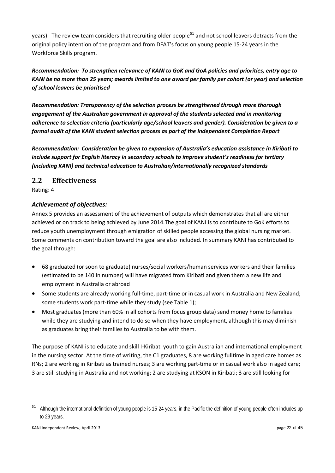years). The review team considers that recruiting older people<sup>[51](#page-21-0)</sup> and not school leavers detracts from the original policy intention of the program and from DFAT's focus on young people 15-24 years in the Workforce Skills program.

# *Recommendation: To strengthen relevance of KANI to GoK and GoA policies and priorities, entry age to KANI be no more than 25 years; awards limited to one award per family per cohort (or year) and selection of school leavers be prioritised*

*Recommendation: Transparency of the selection process be strengthened through more thorough engagement of the Australian government in approval of the students selected and in monitoring adherence to selection criteria (particularly age/school leavers and gender). Consideration be given to a formal audit of the KANI student selection process as part of the Independent Completion Report*

*Recommendation: Consideration be given to expansion of Australia's education assistance in Kiribati to include support for English literacy in secondary schools to improve student's readiness for tertiary (including KANI) and technical education to Australian/internationally recognized standards* 

# **2.2 Effectiveness**

Rating: 4

## *Achievement of objectives:*

Annex 5 provides an assessment of the achievement of outputs which demonstrates that all are either achieved or on track to being achieved by June 2014. The goal of KANI is to contribute to GoK efforts to reduce youth unemployment through emigration of skilled people accessing the global nursing market. Some comments on contribution toward the goal are also included. In summary KANI has contributed to the goal through:

- 68 graduated (or soon to graduate) nurses/social workers/human services workers and their families (estimated to be 140 in number) will have migrated from Kiribati and given them a new life and employment in Australia or abroad
- Some students are already working full-time, part-time or in casual work in Australia and New Zealand; some students work part-time while they study (see Table 1);
- Most graduates (more than 60% in all cohorts from focus group data) send money home to families while they are studying and intend to do so when they have employment, although this may diminish as graduates bring their families to Australia to be with them.

The purpose of KANI is to educate and skill I-Kiribati youth to gain Australian and international employment in the nursing sector. At the time of writing, the C1 graduates, 8 are working fulltime in aged care homes as RNs; 2 are working in Kiribati as trained nurses; 3 are working part-time or in casual work also in aged care; 3 are still studying in Australia and not working; 2 are studying at KSON in Kiribati; 3 are still looking for

<span id="page-21-0"></span><sup>&</sup>lt;sup>51</sup> Although the international definition of young people is 15-24 years, in the Pacific the definition of young people often includes up to 29 years.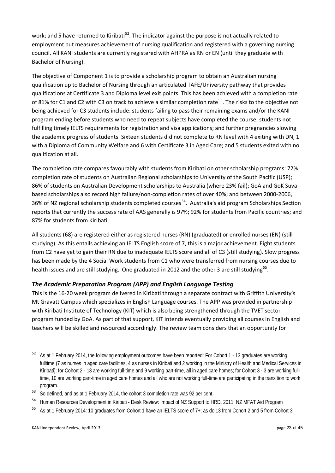work; and 5 have returned to Kiribati<sup>52</sup>. The indicator against the purpose is not actually related to employment but measures achievement of nursing qualification and registered with a governing nursing council. All KANI students are currently registered with AHPRA as RN or EN (until they graduate with Bachelor of Nursing).

The objective of Component 1 is to provide a scholarship program to obtain an Australian nursing qualification up to Bachelor of Nursing through an articulated TAFE/University pathway that provides qualifications at Certificate 3 and Diploma level exit points. This has been achieved with a completion rate of 81% for C1 and C2 with C3 on track to achieve a similar completion rate<sup>53</sup>. The risks to the objective not being achieved for C3 students include: students failing to pass their remaining exams and/or the KANI program ending before students who need to repeat subjects have completed the course; students not fulfilling timely IELTS requirements for registration and visa applications; and further pregnancies slowing the academic progress of students. Sixteen students did not complete to RN level with 4 exiting with DN, 1 with a Diploma of Community Welfare and 6 with Certificate 3 in Aged Care; and 5 students exited with no qualification at all.

The completion rate compares favourably with students from Kiribati on other scholarship programs: 72% completion rate of students on Australian Regional scholarships to University of the South Pacific (USP); 86% of students on Australian Development scholarships to Australia (where 23% fail); GoA and GoK Suvabased scholarships also record high failure/non-completion rates of over 40%; and between 2000-2006, 36% of NZ regional scholarship students completed courses<sup>[54](#page-22-2)</sup>. Australia's aid program Scholarships Section reports that currently the success rate of AAS generally is 97%; 92% for students from Pacific countries; and 87% for students from Kiribati.

All students (68) are registered either as registered nurses (RN) (graduated) or enrolled nurses (EN) (still studying). As this entails achieving an IELTS English score of 7, this is a major achievement. Eight students from C2 have yet to gain their RN due to inadequate IELTS score and all of C3 (still studying). Slow progress has been made by the 4 Social Work students from C1 who were transferred from nursing courses due to health issues and are still studying. One graduated in 2012 and the other 3 are still studying<sup>55</sup>.

# *The Academic Preparation Program (APP) and English Language Testing*

This is the 16-20 week program delivered in Kiribati through a separate contract with Griffith University's Mt Gravatt Campus which specializes in English Language courses. The APP was provided in partnership with Kiribati Institute of Technology (KIT) which is also being strengthened through the TVET sector program funded by GoA. As part of that support, KIT intends eventually providing all courses in English and teachers will be skilled and resourced accordingly. The review team considers that an opportunity for

- <span id="page-22-0"></span><sup>52</sup> As at 1 February 2014, the following employment outcomes have been reported: For Cohort 1 - 13 graduates are working fulltime (7 as nurses in aged care facilities, 4 as nurses in Kiribati and 2 working in the Ministry of Health and Medical Services in Kiribati); for Cohort 2 - 13 are working full-time and 9 working part-time, all in aged care homes; for Cohort 3 - 3 are working fulltime, 10 are working part-time in aged care homes and all who are not working full-time are participating in the transition to work program.
- <span id="page-22-1"></span><sup>53</sup> So defined, and as at 1 February 2014, the cohort 3 completion rate was 92 per cent.
- <span id="page-22-2"></span><sup>54</sup> Human Resources Development in Kiribati - Desk Review: Impact of NZ Support to HRD, 2011, NZ MFAT Aid Program
- <span id="page-22-3"></span><sup>55</sup> As at 1 February 2014: 10 graduates from Cohort 1 have an IELTS score of 7+; as do 13 from Cohort 2 and 5 from Cohort 3.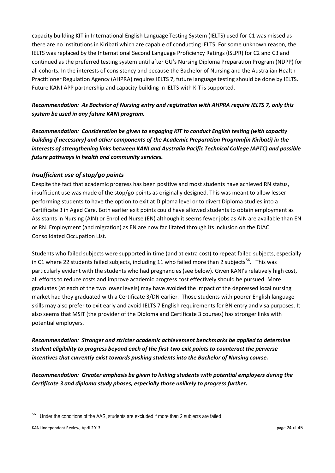capacity building KIT in International English Language Testing System (IELTS) used for C1 was missed as there are no institutions in Kiribati which are capable of conducting IELTS. For some unknown reason, the IELTS was replaced by the International Second Language Proficiency Ratings (ISLPR) for C2 and C3 and continued as the preferred testing system until after GU's Nursing Diploma Preparation Program (NDPP) for all cohorts. In the interests of consistency and because the Bachelor of Nursing and the Australian Health Practitioner Regulation Agency (AHPRA) requires IELTS 7, future language testing should be done by IELTS. Future KANI APP partnership and capacity building in IELTS with KIT is supported.

# *Recommendation: As Bachelor of Nursing entry and registration with AHPRA require IELTS 7, only this system be used in any future KANI program.*

*Recommendation: Consideration be given to engaging KIT to conduct English testing (with capacity building if necessary) and other components of the Academic Preparation Program(in Kiribati) in the interests of strengthening links between KANI and Australia Pacific Technical College (APTC) and possible future pathways in health and community services.* 

## *Insufficient use of stop/go points*

Despite the fact that academic progress has been positive and most students have achieved RN status, insufficient use was made of the stop/go points as originally designed. This was meant to allow lesser performing students to have the option to exit at Diploma level or to divert Diploma studies into a Certificate 3 in Aged Care. Both earlier exit points could have allowed students to obtain employment as Assistants in Nursing (AIN) or Enrolled Nurse (EN) although it seems fewer jobs as AIN are available than EN or RN. Employment (and migration) as EN are now facilitated through its inclusion on the DIAC Consolidated Occupation List.

Students who failed subjects were supported in time (and at extra cost) to repeat failed subjects, especially in C1 where 22 students failed subjects, including 11 who failed more than 2 subjects<sup>[56](#page-23-0)</sup>. This was particularly evident with the students who had pregnancies (see below). Given KANI's relatively high cost, all efforts to reduce costs and improve academic progress cost effectively should be pursued. More graduates (at each of the two lower levels) may have avoided the impact of the depressed local nursing market had they graduated with a Certificate 3/DN earlier. Those students with poorer English language skills may also prefer to exit early and avoid IELTS 7 English requirements for BN entry and visa purposes. It also seems that MSIT (the provider of the Diploma and Certificate 3 courses) has stronger links with potential employers.

*Recommendation: Stronger and stricter academic achievement benchmarks be applied to determine student eligibility to progress beyond each of the first two exit points to counteract the perverse incentives that currently exist towards pushing students into the Bachelor of Nursing course.* 

*Recommendation: Greater emphasis be given to linking students with potential employers during the Certificate 3 and diploma study phases, especially those unlikely to progress further.*

<span id="page-23-0"></span>Under the conditions of the AAS, students are excluded if more than 2 subjects are failed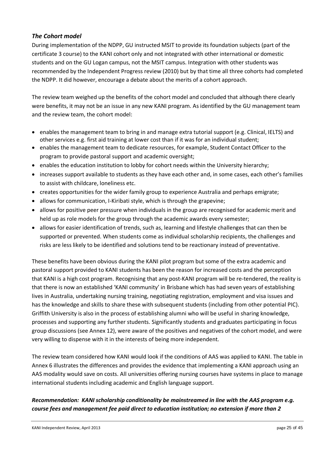### *The Cohort model*

During implementation of the NDPP, GU instructed MSIT to provide its foundation subjects (part of the certificate 3 course) to the KANI cohort only and not integrated with other international or domestic students and on the GU Logan campus, not the MSIT campus. Integration with other students was recommended by the Independent Progress review (2010) but by that time all three cohorts had completed the NDPP. It did however, encourage a debate about the merits of a cohort approach.

The review team weighed up the benefits of the cohort model and concluded that although there clearly were benefits, it may not be an issue in any new KANI program. As identified by the GU management team and the review team, the cohort model:

- enables the management team to bring in and manage extra tutorial support (e.g. Clinical, IELTS) and other services e.g. first aid training at lower cost than if it was for an individual student;
- enables the management team to dedicate resources, for example, Student Contact Officer to the program to provide pastoral support and academic oversight;
- enables the education institution to lobby for cohort needs within the University hierarchy;
- increases support available to students as they have each other and, in some cases, each other's families to assist with childcare, loneliness etc.
- creates opportunities for the wider family group to experience Australia and perhaps emigrate;
- allows for communication, I-Kiribati style, which is through the grapevine;
- allows for positive peer pressure when individuals in the group are recognised for academic merit and held up as role models for the group through the academic awards every semester;
- allows for easier identification of trends, such as, learning and lifestyle challenges that can then be supported or prevented. When students come as individual scholarship recipients, the challenges and risks are less likely to be identified and solutions tend to be reactionary instead of preventative.

These benefits have been obvious during the KANI pilot program but some of the extra academic and pastoral support provided to KANI students has been the reason for increased costs and the perception that KANI is a high cost program. Recognising that any post-KANI program will be re-tendered, the reality is that there is now an established 'KANI community' in Brisbane which has had seven years of establishing lives in Australia, undertaking nursing training, negotiating registration, employment and visa issues and has the knowledge and skills to share these with subsequent students (including from other potential PIC). Griffith University is also in the process of establishing alumni who will be useful in sharing knowledge, processes and supporting any further students. Significantly students and graduates participating in focus group discussions (see Annex 12), were aware of the positives and negatives of the cohort model, and were very willing to dispense with it in the interests of being more independent.

The review team considered how KANI would look if the conditions of AAS was applied to KANI. The table in Annex 6 illustrates the differences and provides the evidence that implementing a KANI approach using an AAS modality would save on costs. All universities offering nursing courses have systems in place to manage international students including academic and English language support.

*Recommendation: KANI scholarship conditionality be mainstreamed in line with the AAS program e.g. course fees and management fee paid direct to education institution; no extension if more than 2*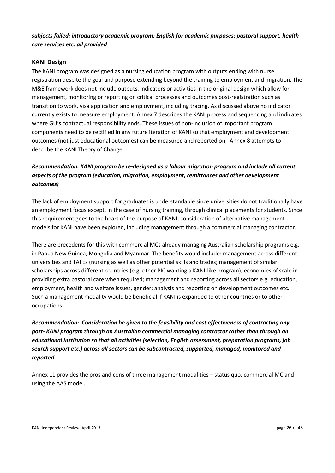### *subjects failed; introductory academic program; English for academic purposes; pastoral support, health care services etc. all provided*

### **KANI Design**

The KANI program was designed as a nursing education program with outputs ending with nurse registration despite the goal and purpose extending beyond the training to employment and migration. The M&E framework does not include outputs, indicators or activities in the original design which allow for management, monitoring or reporting on critical processes and outcomes post-registration such as transition to work, visa application and employment, including tracing. As discussed above no indicator currently exists to measure employment. Annex 7 describes the KANI process and sequencing and indicates where GU's contractual responsibility ends. These issues of non-inclusion of important program components need to be rectified in any future iteration of KANI so that employment and development outcomes (not just educational outcomes) can be measured and reported on. Annex 8 attempts to describe the KANI Theory of Change.

# *Recommendation: KANI program be re-designed as a labour migration program and include all current aspects of the program (education, migration, employment, remittances and other development outcomes)*

The lack of employment support for graduates is understandable since universities do not traditionally have an employment focus except, in the case of nursing training, through clinical placements for students. Since this requirement goes to the heart of the purpose of KANI, consideration of alternative management models for KANI have been explored, including management through a commercial managing contractor.

There are precedents for this with commercial MCs already managing Australian scholarship programs e.g. in Papua New Guinea, Mongolia and Myanmar. The benefits would include: management across different universities and TAFEs (nursing as well as other potential skills and trades; management of similar scholarships across different countries (e.g. other PIC wanting a KANI-like program); economies of scale in providing extra pastoral care when required; management and reporting across all sectors e.g. education, employment, health and welfare issues, gender; analysis and reporting on development outcomes etc. Such a management modality would be beneficial if KANI is expanded to other countries or to other occupations.

*Recommendation: Consideration be given to the feasibility and cost effectiveness of contracting any post- KANI program through an Australian commercial managing contractor rather than through an educational institution so that all activities (selection, English assessment, preparation programs, job search support etc.) across all sectors can be subcontracted, supported, managed, monitored and reported.* 

Annex 11 provides the pros and cons of three management modalities – status quo, commercial MC and using the AAS model.

#### KANI Independent Review, April 2013 **big 26 of 45** page 26 of 45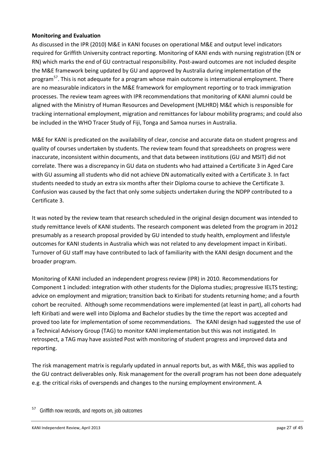#### **Monitoring and Evaluation**

As discussed in the IPR (2010) M&E in KANI focuses on operational M&E and output level indicators required for Griffith University contract reporting. Monitoring of KANI ends with nursing registration (EN or RN) which marks the end of GU contractual responsibility. Post-award outcomes are not included despite the M&E framework being updated by GU and approved by Australia during implementation of the program<sup>57</sup>. This is not adequate for a program whose main outcome is international employment. There are no measurable indicators in the M&E framework for employment reporting or to track immigration processes. The review team agrees with IPR recommendations that monitoring of KANI alumni could be aligned with the Ministry of Human Resources and Development (MLHRD) M&E which is responsible for tracking international employment, migration and remittances for labour mobility programs; and could also be included in the WHO Tracer Study of Fiji, Tonga and Samoa nurses in Australia.

M&E for KANI is predicated on the availability of clear, concise and accurate data on student progress and quality of courses undertaken by students. The review team found that spreadsheets on progress were inaccurate, inconsistent within documents, and that data between institutions (GU and MSIT) did not correlate. There was a discrepancy in GU data on students who had attained a Certificate 3 in Aged Care with GU assuming all students who did not achieve DN automatically exited with a Certificate 3. In fact students needed to study an extra six months after their Diploma course to achieve the Certificate 3. Confusion was caused by the fact that only some subjects undertaken during the NDPP contributed to a Certificate 3.

It was noted by the review team that research scheduled in the original design document was intended to study remittance levels of KANI students. The research component was deleted from the program in 2012 presumably as a research proposal provided by GU intended to study health, employment and lifestyle outcomes for KANI students in Australia which was not related to any development impact in Kiribati. Turnover of GU staff may have contributed to lack of familiarity with the KANI design document and the broader program.

Monitoring of KANI included an independent progress review (IPR) in 2010. Recommendations for Component 1 included: integration with other students for the Diploma studies; progressive IELTS testing; advice on employment and migration; transition back to Kiribati for students returning home; and a fourth cohort be recruited. Although some recommendations were implemented (at least in part), all cohorts had left Kiribati and were well into Diploma and Bachelor studies by the time the report was accepted and proved too late for implementation of some recommendations. The KANI design had suggested the use of a Technical Advisory Group (TAG) to monitor KANI implementation but this was not instigated. In retrospect, a TAG may have assisted Post with monitoring of student progress and improved data and reporting.

The risk management matrix is regularly updated in annual reports but, as with M&E, this was applied to the GU contract deliverables only. Risk management for the overall program has not been done adequately e.g. the critical risks of overspends and changes to the nursing employment environment. A

<span id="page-26-0"></span><sup>&</sup>lt;sup>57</sup> Griffith now records, and reports on, job outcomes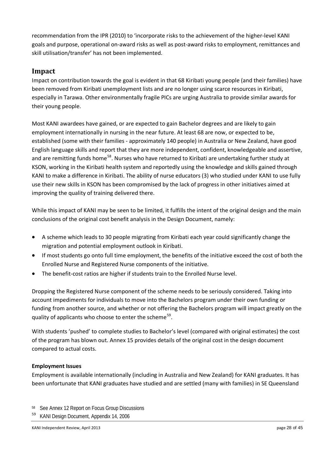recommendation from the IPR (2010) to 'incorporate risks to the achievement of the higher-level KANI goals and purpose, operational on-award risks as well as post-award risks to employment, remittances and skill utilisation/transfer' has not been implemented.

# **Impact**

Impact on contribution towards the goal is evident in that 68 Kiribati young people (and their families) have been removed from Kiribati unemployment lists and are no longer using scarce resources in Kiribati, especially in Tarawa. Other environmentally fragile PICs are urging Australia to provide similar awards for their young people.

Most KANI awardees have gained, or are expected to gain Bachelor degrees and are likely to gain employment internationally in nursing in the near future. At least 68 are now, or expected to be, established (some with their families - approximately 140 people) in Australia or New Zealand, have good English language skills and report that they are more independent, confident, knowledgeable and assertive, and are remitting funds home<sup>[58](#page-27-0)</sup>. Nurses who have returned to Kiribati are undertaking further study at KSON, working in the Kiribati health system and reportedly using the knowledge and skills gained through KANI to make a difference in Kiribati. The ability of nurse educators (3) who studied under KANI to use fully use their new skills in KSON has been compromised by the lack of progress in other initiatives aimed at improving the quality of training delivered there.

While this impact of KANI may be seen to be limited, it fulfills the intent of the original design and the main conclusions of the original cost benefit analysis in the Design Document, namely:

- A scheme which leads to 30 people migrating from Kiribati each year could significantly change the migration and potential employment outlook in Kiribati.
- If most students go onto full time employment, the benefits of the initiative exceed the cost of both the Enrolled Nurse and Registered Nurse components of the initiative.
- The benefit-cost ratios are higher if students train to the Enrolled Nurse level.

Dropping the Registered Nurse component of the scheme needs to be seriously considered. Taking into account impediments for individuals to move into the Bachelors program under their own funding or funding from another source, and whether or not offering the Bachelors program will impact greatly on the quality of applicants who choose to enter the scheme<sup>59</sup>.

With students 'pushed' to complete studies to Bachelor's level (compared with original estimates) the cost of the program has blown out. Annex 15 provides details of the original cost in the design document compared to actual costs.

### **Employment Issues**

Employment is available internationally (including in Australia and New Zealand) for KANI graduates. It has been unfortunate that KANI graduates have studied and are settled (many with families) in SE Queensland

<span id="page-27-0"></span><sup>58</sup> See Annex 12 Report on Focus Group Discussions

<span id="page-27-1"></span><sup>59</sup> KANI Design Document, Appendix 14, 2006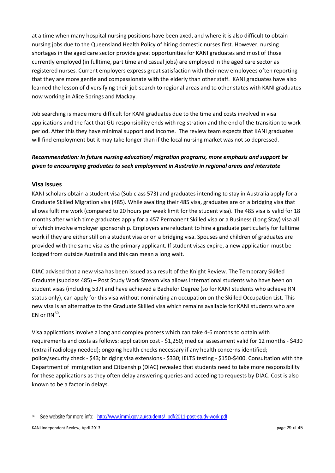at a time when many hospital nursing positions have been axed, and where it is also difficult to obtain nursing jobs due to the Queensland Health Policy of hiring domestic nurses first. However, nursing shortages in the aged care sector provide great opportunities for KANI graduates and most of those currently employed (in fulltime, part time and casual jobs) are employed in the aged care sector as registered nurses. Current employers express great satisfaction with their new employees often reporting that they are more gentle and compassionate with the elderly than other staff. KANI graduates have also learned the lesson of diversifying their job search to regional areas and to other states with KANI graduates now working in Alice Springs and Mackay.

Job searching is made more difficult for KANI graduates due to the time and costs involved in visa applications and the fact that GU responsibility ends with registration and the end of the transition to work period. After this they have minimal support and income. The review team expects that KANI graduates will find employment but it may take longer than if the local nursing market was not so depressed.

# *Recommendation: In future nursing education/ migration programs, more emphasis and support be given to encouraging graduates to seek employment in Australia in regional areas and interstate*

### **Visa issues**

KANI scholars obtain a student visa (Sub class 573) and graduates intending to stay in Australia apply for a Graduate Skilled Migration visa (485). While awaiting their 485 visa, graduates are on a bridging visa that allows fulltime work (compared to 20 hours per week limit for the student visa). The 485 visa is valid for 18 months after which time graduates apply for a 457 Permanent Skilled visa or a Business (Long Stay) visa all of which involve employer sponsorship. Employers are reluctant to hire a graduate particularly for fulltime work if they are either still on a student visa or on a bridging visa. Spouses and children of graduates are provided with the same visa as the primary applicant. If student visas expire, a new application must be lodged from outside Australia and this can mean a long wait.

DIAC advised that a new visa has been issued as a result of the Knight Review. The Temporary Skilled Graduate (subclass 485) – Post Study Work Stream visa allows international students who have been on student visas (including 537) and have achieved a Bachelor Degree (so for KANI students who achieve RN status only), can apply for this visa without nominating an occupation on the Skilled Occupation List. This new visa is an alternative to the Graduate Skilled visa which remains available for KANI students who are EN or  $RN^{60}$  $RN^{60}$  $RN^{60}$ .

Visa applications involve a long and complex process which can take 4-6 months to obtain with requirements and costs as follows: application cost - \$1,250; medical assessment valid for 12 months - \$430 (extra if radiology needed); ongoing health checks necessary if any health concerns identified; police/security check - \$43; bridging visa extensions - \$330; IELTS testing - \$150-\$400. Consultation with the Department of Immigration and Citizenship (DIAC) revealed that students need to take more responsibility for these applications as they often delay answering queries and acceding to requests by DIAC. Cost is also known to be a factor in delays.

<span id="page-28-0"></span><sup>60</sup> See website for more info: [http://www.immi.gov.au/students/\\_pdf/2011-post-study-work.pdf](http://www.immi.gov.au/students/_pdf/2011-post-study-work.pdf)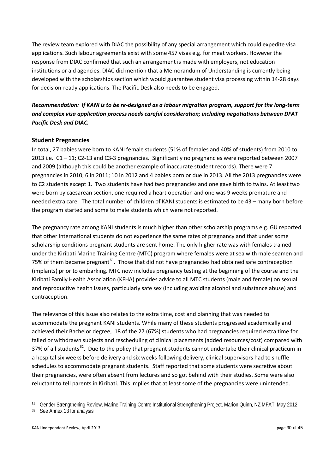The review team explored with DIAC the possibility of any special arrangement which could expedite visa applications. Such labour agreements exist with some 457 visas e.g. for meat workers. However the response from DIAC confirmed that such an arrangement is made with employers, not education institutions or aid agencies. DIAC did mention that a Memorandum of Understanding is currently being developed with the scholarships section which would guarantee student visa processing within 14-28 days for decision-ready applications. The Pacific Desk also needs to be engaged.

# *Recommendation: If KANI is to be re-designed as a labour migration program, support for the long-term and complex visa application process needs careful consideration; including negotiations between DFAT Pacific Desk and DIAC.*

### **Student Pregnancies**

In total, 27 babies were born to KANI female students (51% of females and 40% of students) from 2010 to 2013 i.e. C1 – 11; C2-13 and C3-3 pregnancies. Significantly no pregnancies were reported between 2007 and 2009 (although this could be another example of inaccurate student records). There were 7 pregnancies in 2010; 6 in 2011; 10 in 2012 and 4 babies born or due in 2013. All the 2013 pregnancies were to C2 students except 1. Two students have had two pregnancies and one gave birth to twins. At least two were born by caesarean section, one required a heart operation and one was 9 weeks premature and needed extra care. The total number of children of KANI students is estimated to be 43 – many born before the program started and some to male students which were not reported.

The pregnancy rate among KANI students is much higher than other scholarship programs e.g. GU reported that other international students do not experience the same rates of pregnancy and that under some scholarship conditions pregnant students are sent home. The only higher rate was with females trained under the Kiribati Marine Training Centre (MTC) program where females were at sea with male seamen and 75% of them became pregnant<sup>[61](#page-29-0)</sup>. Those that did not have pregnancies had obtained safe contraception (implants) prior to embarking. MTC now includes pregnancy testing at the beginning of the course and the Kiribati Family Health Association (KFHA) provides advice to all MTC students (male and female) on sexual and reproductive health issues, particularly safe sex (including avoiding alcohol and substance abuse) and contraception.

The relevance of this issue also relates to the extra time, cost and planning that was needed to accommodate the pregnant KANI students. While many of these students progressed academically and achieved their Bachelor degree, 18 of the 27 (67%) students who had pregnancies required extra time for failed or withdrawn subjects and rescheduling of clinical placements (added resources/cost) compared with 37% of all students<sup>[62](#page-29-1)</sup>. Due to the policy that pregnant students cannot undertake their clinical practicum in a hospital six weeks before delivery and six weeks following delivery, clinical supervisors had to shuffle schedules to accommodate pregnant students. Staff reported that some students were secretive about their pregnancies, were often absent from lectures and so got behind with their studies. Some were also reluctant to tell parents in Kiribati. This implies that at least some of the pregnancies were unintended.

<span id="page-29-0"></span><sup>61</sup> Gender Strengthening Review, Marine Training Centre Institutional Strengthening Project, Marion Quinn, NZ MFAT, May 2012

<span id="page-29-1"></span><sup>62</sup> See Annex 13 for analysis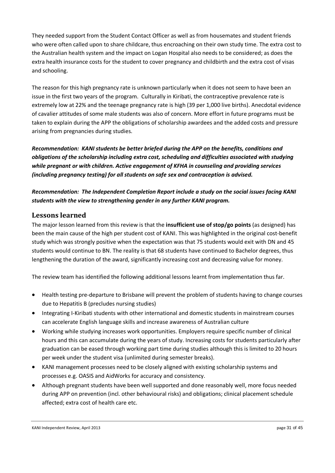They needed support from the Student Contact Officer as well as from housemates and student friends who were often called upon to share childcare, thus encroaching on their own study time. The extra cost to the Australian health system and the impact on Logan Hospital also needs to be considered; as does the extra health insurance costs for the student to cover pregnancy and childbirth and the extra cost of visas and schooling.

The reason for this high pregnancy rate is unknown particularly when it does not seem to have been an issue in the first two years of the program. Culturally in Kiribati, the contraceptive prevalence rate is extremely low at 22% and the teenage pregnancy rate is high (39 per 1,000 live births). Anecdotal evidence of cavalier attitudes of some male students was also of concern. More effort in future programs must be taken to explain during the APP the obligations of scholarship awardees and the added costs and pressure arising from pregnancies during studies.

*Recommendation: KANI students be better briefed during the APP on the benefits, conditions and obligations of the scholarship including extra cost, scheduling and difficulties associated with studying while pregnant or with children. Active engagement of KFHA in counseling and providing services (including pregnancy testing) for all students on safe sex and contraception is advised.* 

*Recommendation: The Independent Completion Report include a study on the social issues facing KANI students with the view to strengthening gender in any further KANI program.* 

# **Lessons learned**

The major lesson learned from this review is that the **insufficient use of stop/go points** (as designed) has been the main cause of the high per student cost of KANI. This was highlighted in the original cost-benefit study which was strongly positive when the expectation was that 75 students would exit with DN and 45 students would continue to BN. The reality is that 68 students have continued to Bachelor degrees, thus lengthening the duration of the award, significantly increasing cost and decreasing value for money.

The review team has identified the following additional lessons learnt from implementation thus far.

- Health testing pre-departure to Brisbane will prevent the problem of students having to change courses due to Hepatitis B (precludes nursing studies)
- Integrating I-Kiribati students with other international and domestic students in mainstream courses can accelerate English language skills and increase awareness of Australian culture
- Working while studying increases work opportunities. Employers require specific number of clinical hours and this can accumulate during the years of study. Increasing costs for students particularly after graduation can be eased through working part time during studies although this is limited to 20 hours per week under the student visa (unlimited during semester breaks).
- KANI management processes need to be closely aligned with existing scholarship systems and processes e.g. OASIS and AidWorks for accuracy and consistency.
- Although pregnant students have been well supported and done reasonably well, more focus needed during APP on prevention (incl. other behavioural risks) and obligations; clinical placement schedule affected; extra cost of health care etc.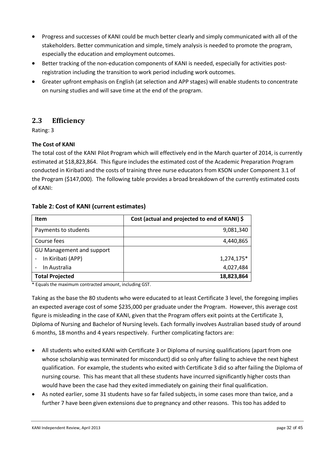- Progress and successes of KANI could be much better clearly and simply communicated with all of the stakeholders. Better communication and simple, timely analysis is needed to promote the program, especially the education and employment outcomes.
- Better tracking of the non-education components of KANI is needed, especially for activities postregistration including the transition to work period including work outcomes.
- Greater upfront emphasis on English (at selection and APP stages) will enable students to concentrate on nursing studies and will save time at the end of the program.

# **2.3 Efficiency**

Rating: 3

## **The Cost of KANI**

The total cost of the KANI Pilot Program which will effectively end in the March quarter of 2014, is currently estimated at \$18,823,864. This figure includes the estimated cost of the Academic Preparation Program conducted in Kiribati and the costs of training three nurse educators from KSON under Component 3.1 of the Program (\$147,000). The following table provides a broad breakdown of the currently estimated costs of KANI:

## **Table 2: Cost of KANI (current estimates)**

| <b>Item</b>               | Cost (actual and projected to end of KANI) \$ |
|---------------------------|-----------------------------------------------|
| Payments to students      | 9,081,340                                     |
| Course fees               | 4,440,865                                     |
| GU Management and support |                                               |
| In Kiribati (APP)         | 1,274,175*                                    |
| In Australia              | 4,027,484                                     |
| <b>Total Projected</b>    | 18,823,864                                    |

\* Equals the maximum contracted amount, including GST.

Taking as the base the 80 students who were educated to at least Certificate 3 level, the foregoing implies an expected average cost of some \$235,000 per graduate under the Program. However, this average cost figure is misleading in the case of KANI, given that the Program offers exit points at the Certificate 3, Diploma of Nursing and Bachelor of Nursing levels. Each formally involves Australian based study of around 6 months, 18 months and 4 years respectively. Further complicating factors are:

- All students who exited KANI with Certificate 3 or Diploma of nursing qualifications (apart from one whose scholarship was terminated for misconduct) did so only after failing to achieve the next highest qualification. For example, the students who exited with Certificate 3 did so after failing the Diploma of nursing course. This has meant that all these students have incurred significantly higher costs than would have been the case had they exited immediately on gaining their final qualification.
- As noted earlier, some 31 students have so far failed subjects, in some cases more than twice, and a further 7 have been given extensions due to pregnancy and other reasons. This too has added to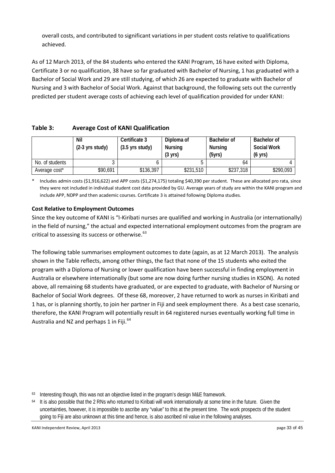overall costs, and contributed to significant variations in per student costs relative to qualifications achieved.

As of 12 March 2013, of the 84 students who entered the KANI Program, 16 have exited with Diploma, Certificate 3 or no qualification, 38 have so far graduated with Bachelor of Nursing, 1 has graduated with a Bachelor of Social Work and 29 are still studying, of which 26 are expected to graduate with Bachelor of Nursing and 3 with Bachelor of Social Work. Against that background, the following sets out the currently predicted per student average costs of achieving each level of qualification provided for under KANI:

# **Table 3: Average Cost of KANI Qualification**

|                 | Nil<br>$(2-3$ yrs study) | Certificate 3<br>$(3.5 \, \text{yrs study})$ | Diploma of<br><b>Nursing</b><br>$(3 \text{ yrs})$ | <b>Bachelor of</b><br>Nursing<br>(5yrs) | <b>Bachelor of</b><br><b>Social Work</b><br>$(6 \text{ yrs})$ |
|-----------------|--------------------------|----------------------------------------------|---------------------------------------------------|-----------------------------------------|---------------------------------------------------------------|
| No. of students |                          |                                              |                                                   | 64                                      |                                                               |
| Average cost*   | \$90,691                 | \$136,397                                    | \$231,510                                         | \$237,318                               | \$290,093                                                     |

Includes admin costs (\$1,916,622) and APP costs (\$1,274,175) totaling \$40,390 per student. These are allocated pro rata, since they were not included in individual student cost data provided by GU. Average years of study are within the KANI program and include APP, NDPP and then academic courses. Certificate 3 is attained following Diploma studies.

### **Cost Relative to Employment Outcomes**

Since the key outcome of KANI is "I-Kiribati nurses are qualified and working in Australia (or internationally) in the field of nursing," the actual and expected international employment outcomes from the program are critical to assessing its success or otherwise.<sup>63</sup>

The following table summarises employment outcomes to date (again, as at 12 March 2013). The analysis shown in the Table reflects, among other things, the fact that none of the 15 students who exited the program with a Diploma of Nursing or lower qualification have been successful in finding employment in Australia or elsewhere internationally (but some are now doing further nursing studies in KSON). As noted above, all remaining 68 students have graduated, or are expected to graduate, with Bachelor of Nursing or Bachelor of Social Work degrees. Of these 68, moreover, 2 have returned to work as nurses in Kiribati and 1 has, or is planning shortly, to join her partner in Fiji and seek employment there. As a best case scenario, therefore, the KANI Program will potentially result in 64 registered nurses eventually working full time in Australia and NZ and perhaps 1 in Fiji.<sup>[64](#page-32-1)</sup>

<span id="page-32-0"></span><sup>63</sup> Interesting though, this was not an objective listed in the program's design M&E framework.

<span id="page-32-1"></span><sup>&</sup>lt;sup>64</sup> It is also possible that the 2 RNs who returned to Kiribati will work internationally at some time in the future. Given the uncertainties, however, it is impossible to ascribe any "value" to this at the present time. The work prospects of the student going to Fiji are also unknown at this time and hence, is also ascribed nil value in the following analyses.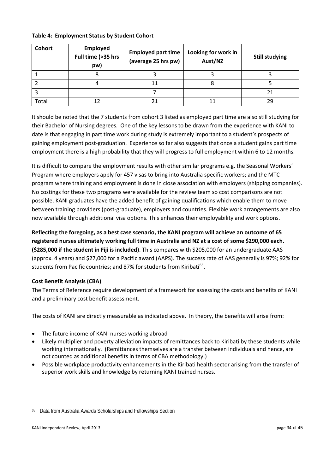| <b>Cohort</b> | <b>Employed</b><br>Full time (>35 hrs<br>pw) | <b>Employed part time</b><br>(average 25 hrs pw) | Looking for work in<br>Aust/NZ | <b>Still studying</b> |
|---------------|----------------------------------------------|--------------------------------------------------|--------------------------------|-----------------------|
|               |                                              |                                                  |                                |                       |
|               |                                              | 11                                               |                                |                       |
|               |                                              |                                                  |                                | 21                    |
| Total         |                                              |                                                  |                                | 29                    |

#### **Table 4: Employment Status by Student Cohort**

It should be noted that the 7 students from cohort 3 listed as employed part time are also still studying for their Bachelor of Nursing degrees. One of the key lessons to be drawn from the experience with KANI to date is that engaging in part time work during study is extremely important to a student's prospects of gaining employment post-graduation. Experience so far also suggests that once a student gains part time employment there is a high probability that they will progress to full employment within 6 to 12 months.

It is difficult to compare the employment results with other similar programs e.g. the Seasonal Workers' Program where employers apply for 457 visas to bring into Australia specific workers; and the MTC program where training and employment is done in close association with employers (shipping companies). No costings for these two programs were available for the review team so cost comparisons are not possible. KANI graduates have the added benefit of gaining qualifications which enable them to move between training providers (post-graduate), employers and countries. Flexible work arrangements are also now available through additional visa options. This enhances their employability and work options.

**Reflecting the foregoing, as a best case scenario, the KANI program will achieve an outcome of 65 registered nurses ultimately working full time in Australia and NZ at a cost of some \$290,000 each. (\$285,000 if the student in Fiji is included)**. This compares with \$205,000 for an undergraduate AAS (approx. 4 years) and \$27,000 for a Pacific award (AAPS). The success rate of AAS generally is 97%; 92% for students from Pacific countries; and 87% for students from Kiribati<sup>65</sup>.

### **Cost Benefit Analysis (CBA)**

The Terms of Reference require development of a framework for assessing the costs and benefits of KANI and a preliminary cost benefit assessment.

The costs of KANI are directly measurable as indicated above. In theory, the benefits will arise from:

- The future income of KANI nurses working abroad
- Likely multiplier and poverty alleviation impacts of remittances back to Kiribati by these students while working internationally. (Remittances themselves are a transfer between individuals and hence, are not counted as additional benefits in terms of CBA methodology.)
- Possible workplace productivity enhancements in the Kiribati health sector arising from the transfer of superior work skills and knowledge by returning KANI trained nurses.

<span id="page-33-0"></span><sup>65</sup> Data from Australia Awards Scholarships and Fellowships Section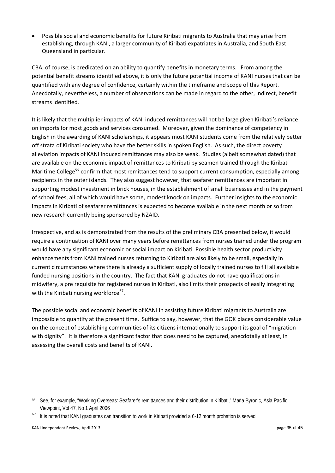• Possible social and economic benefits for future Kiribati migrants to Australia that may arise from establishing, through KANI, a larger community of Kiribati expatriates in Australia, and South East Queensland in particular.

CBA, of course, is predicated on an ability to quantify benefits in monetary terms. From among the potential benefit streams identified above, it is only the future potential income of KANI nurses that can be quantified with any degree of confidence, certainly within the timeframe and scope of this Report. Anecdotally, nevertheless, a number of observations can be made in regard to the other, indirect, benefit streams identified.

It is likely that the multiplier impacts of KANI induced remittances will not be large given Kiribati's reliance on imports for most goods and services consumed. Moreover, given the dominance of competency in English in the awarding of KANI scholarships, it appears most KANI students come from the relatively better off strata of Kiribati society who have the better skills in spoken English. As such, the direct poverty alleviation impacts of KANI induced remittances may also be weak. Studies (albeit somewhat dated) that are available on the economic impact of remittances to Kiribati by seamen trained through the Kiribati Maritime College<sup>[66](#page-34-0)</sup> confirm that most remittances tend to support current consumption, especially among recipients in the outer islands. They also suggest however, that seafarer remittances are important in supporting modest investment in brick houses, in the establishment of small businesses and in the payment of school fees, all of which would have some, modest knock on impacts. Further insights to the economic impacts in Kiribati of seafarer remittances is expected to become available in the next month or so from new research currently being sponsored by NZAID.

Irrespective, and as is demonstrated from the results of the preliminary CBA presented below, it would require a continuation of KANI over many years before remittances from nurses trained under the program would have any significant economic or social impact on Kiribati. Possible health sector productivity enhancements from KANI trained nurses returning to Kiribati are also likely to be small, especially in current circumstances where there is already a sufficient supply of locally trained nurses to fill all available funded nursing positions in the country. The fact that KANI graduates do not have qualifications in midwifery, a pre requisite for registered nurses in Kiribati, also limits their prospects of easily integrating with the Kiribati nursing workforce<sup>67</sup>.

The possible social and economic benefits of KANI in assisting future Kiribati migrants to Australia are impossible to quantify at the present time. Suffice to say, however, that the GOK places considerable value on the concept of establishing communities of its citizens internationally to support its goal of "migration with dignity". It is therefore a significant factor that does need to be captured, anecdotally at least, in assessing the overall costs and benefits of KANI.

<span id="page-34-0"></span><sup>66</sup> See, for example, "Working Overseas: Seafarer's remittances and their distribution in Kiribati," Maria Byronic, Asia Pacific Viewpoint, Vol 47, No 1 April 2006

<span id="page-34-1"></span><sup>&</sup>lt;sup>67</sup> It is noted that KANI graduates can transition to work in Kiribati provided a 6-12 month probation is served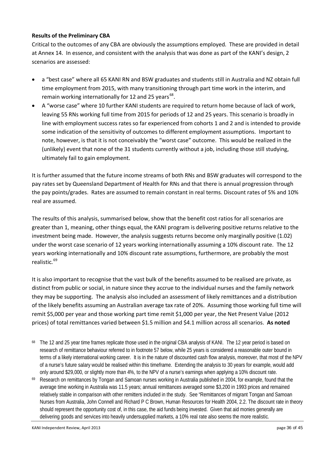#### **Results of the Preliminary CBA**

Critical to the outcomes of any CBA are obviously the assumptions employed. These are provided in detail at Annex 14. In essence, and consistent with the analysis that was done as part of the KANI's design, 2 scenarios are assessed:

- a "best case" where all 65 KANI RN and BSW graduates and students still in Australia and NZ obtain full time employment from 2015, with many transitioning through part time work in the interim, and remain working internationally for 12 and 25 years<sup>68</sup>.
- A "worse case" where 10 further KANI students are required to return home because of lack of work, leaving 55 RNs working full time from 2015 for periods of 12 and 25 years. This scenario is broadly in line with employment success rates so far experienced from cohorts 1 and 2 and is intended to provide some indication of the sensitivity of outcomes to different employment assumptions. Important to note, however, is that it is not conceivably the "worst case" outcome. This would be realized in the (unlikely) event that none of the 31 students currently without a job, including those still studying, ultimately fail to gain employment.

It is further assumed that the future income streams of both RNs and BSW graduates will correspond to the pay rates set by Queensland Department of Health for RNs and that there is annual progression through the pay points/grades. Rates are assumed to remain constant in real terms. Discount rates of 5% and 10% real are assumed.

The results of this analysis, summarised below, show that the benefit cost ratios for all scenarios are greater than 1, meaning, other things equal, the KANI program is delivering positive returns relative to the investment being made. However, the analysis suggests returns become only marginally positive (1.02) under the worst case scenario of 12 years working internationally assuming a 10% discount rate. The 12 years working internationally and 10% discount rate assumptions, furthermore, are probably the most realistic.<sup>[69](#page-35-1)</sup>

It is also important to recognise that the vast bulk of the benefits assumed to be realised are private, as distinct from public or social, in nature since they accrue to the individual nurses and the family network they may be supporting. The analysis also included an assessment of likely remittances and a distribution of the likely benefits assuming an Australian average tax rate of 20%. Assuming those working full time will remit \$5,000 per year and those working part time remit \$1,000 per year, the Net Present Value (2012 prices) of total remittances varied between \$1.5 million and \$4.1 million across all scenarios. **As noted** 

- <span id="page-35-0"></span><sup>68</sup> The 12 and 25 year time frames replicate those used in the original CBA analysis of KANI. The 12 year period is based on research of remittance behaviour referred to in footnote 57 below, while 25 years is considered a reasonable outer bound in terms of a likely international working career. It is in the nature of discounted cash flow analysis, moreover, that most of the NPV of a nurse's future salary would be realised within this timeframe. Extending the analysis to 30 years for example, would add only around \$29,000, or slightly more than 4%, to the NPV of a nurse's earnings when applying a 10% discount rate.
- <span id="page-35-1"></span><sup>69</sup> Research on remittances by Tongan and Samoan nurses working in Australia published in 2004, for example, found that the average time working in Australia was 11.5 years; annual remittances averaged some \$3,200 in 1993 prices and remained relatively stable in comparison with other remitters included in the study. See "Remittances of migrant Tongan and Samoan Nurses from Australia, John Connell and Richard P C Brown, Human Resources for Health 2004, 2.2. The discount rate in theory should represent the opportunity cost of, in this case, the aid funds being invested. Given that aid monies generally are delivering goods and services into heavily undersupplied markets, a 10% real rate also seems the more realistic.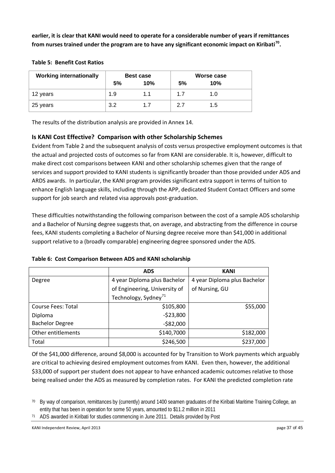**earlier, it is clear that KANI would need to operate for a considerable number of years if remittances from nurses trained under the program are to have any significant economic impact on Kiribati[70.](#page-36-0)** 

| <b>Working internationally</b> | <b>Best case</b> |     |    | Worse case |
|--------------------------------|------------------|-----|----|------------|
|                                | 5%               | 10% | 5% | 10%        |
| 12 years                       | 1.9              | 1.1 | 17 | 1.0        |
| 25 years                       | 3.2              | 1.7 | 27 | 1.5        |

#### **Table 5: Benefit Cost Ratios**

The results of the distribution analysis are provided in Annex 14.

### **Is KANI Cost Effective? Comparison with other Scholarship Schemes**

Evident from Table 2 and the subsequent analysis of costs versus prospective employment outcomes is that the actual and projected costs of outcomes so far from KANI are considerable. It is, however, difficult to make direct cost comparisons between KANI and other scholarship schemes given that the range of services and support provided to KANI students is significantly broader than those provided under ADS and ARDS awards. In particular, the KANI program provides significant extra support in terms of tuition to enhance English language skills, including through the APP, dedicated Student Contact Officers and some support for job search and related visa approvals post-graduation.

These difficulties notwithstanding the following comparison between the cost of a sample ADS scholarship and a Bachelor of Nursing degree suggests that, on average, and abstracting from the difference in course fees, KANI students completing a Bachelor of Nursing degree receive more than \$41,000 in additional support relative to a (broadly comparable) engineering degree sponsored under the ADS.

|                           | <b>ADS</b>                       | <b>KANI</b>                  |
|---------------------------|----------------------------------|------------------------------|
| Degree                    | 4 year Diploma plus Bachelor     | 4 year Diploma plus Bachelor |
|                           | of Engineering, University of    | of Nursing, GU               |
|                           | Technology, Sydney <sup>71</sup> |                              |
| <b>Course Fees: Total</b> | \$105,800                        | \$55,000                     |
| Diploma                   | $-523,800$                       |                              |
| <b>Bachelor Degree</b>    | $-$82,000$                       |                              |
| Other entitlements        | \$140,7000                       | \$182,000                    |
| Total                     | \$246,500                        | \$237,000                    |

#### **Table 6: Cost Comparison Between ADS and KANI scholarship**

Of the \$41,000 difference, around \$8,000 is accounted for by Transition to Work payments which arguably are critical to achieving desired employment outcomes from KANI. Even then, however, the additional \$33,000 of support per student does not appear to have enhanced academic outcomes relative to those being realised under the ADS as measured by completion rates. For KANI the predicted completion rate

<span id="page-36-1"></span><sup>71</sup> ADS awarded in Kiribati for studies commencing in June 2011. Details provided by Post

<span id="page-36-0"></span><sup>&</sup>lt;sup>70</sup> By way of comparison, remittances by (currently) around 1400 seamen graduates of the Kiribati Maritime Training College, an entity that has been in operation for some 50 years, amounted to \$11.2 million in 2011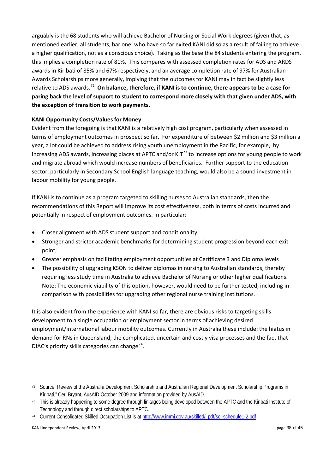arguably is the 68 students who will achieve Bachelor of Nursing or Social Work degrees (given that, as mentioned earlier, all students, bar one, who have so far exited KANI did so as a result of failing to achieve a higher qualification, not as a conscious choice). Taking as the base the 84 students entering the program, this implies a completion rate of 81%. This compares with assessed completion rates for ADS and ARDS awards in Kiribati of 85% and 67% respectively, and an average completion rate of 97% for Australian Awards Scholarships more generally, implying that the outcomes for KANI may in fact be slightly less relative to ADS awards.[72](#page-37-0) **On balance, therefore, if KANI is to continue, there appears to be a case for paring back the level of support to student to correspond more closely with that given under ADS, with the exception of transition to work payments.**

### **KANI Opportunity Costs/Values for Money**

Evident from the foregoing is that KANI is a relatively high cost program, particularly when assessed in terms of employment outcomes in prospect so far. For expenditure of between \$2 million and \$3 million a year, a lot could be achieved to address rising youth unemployment in the Pacific, for example, by increasing ADS awards, increasing places at APTC and/or  $KIT<sup>73</sup>$  $KIT<sup>73</sup>$  $KIT<sup>73</sup>$  to increase options for young people to work and migrate abroad which would increase numbers of beneficiaries. Further support to the education sector, particularly in Secondary School English language teaching, would also be a sound investment in labour mobility for young people.

If KANI is to continue as a program targeted to skilling nurses to Australian standards, then the recommendations of this Report will improve its cost effectiveness, both in terms of costs incurred and potentially in respect of employment outcomes. In particular:

- Closer alignment with ADS student support and conditionality;
- Stronger and stricter academic benchmarks for determining student progression beyond each exit point;
- Greater emphasis on facilitating employment opportunities at Certificate 3 and Diploma levels
- The possibility of upgrading KSON to deliver diplomas in nursing to Australian standards, thereby requiring less study time in Australia to achieve Bachelor of Nursing or other higher qualifications. Note: The economic viability of this option, however, would need to be further tested, including in comparison with possibilities for upgrading other regional nurse training institutions.

It is also evident from the experience with KANI so far, there are obvious risks to targeting skills development to a single occupation or employment sector in terms of achieving desired employment/international labour mobility outcomes. Currently in Australia these include: the hiatus in demand for RNs in Queensland; the complicated, uncertain and costly visa processes and the fact that DIAC's priority skills categories can change<sup>74</sup>.

<span id="page-37-0"></span><sup>72</sup> Source: Review of the Australia Development Scholarship and Australian Regional Development Scholarship Programs in Kiribati," Ceri Bryant, AusAID October 2009 and information provided by AusAID.

<span id="page-37-1"></span><sup>&</sup>lt;sup>73</sup> This is already happening to some degree through linkages being developed between the APTC and the Kiribati Institute of Technology and through direct scholarships to APTC.

<span id="page-37-2"></span><sup>74</sup> Current Consolidated Skilled Occupation List is at [http://www.immi.gov.au/skilled/\\_pdf/sol-schedule1-2.pdf](http://www.immi.gov.au/skilled/_pdf/sol-schedule1-2.pdf)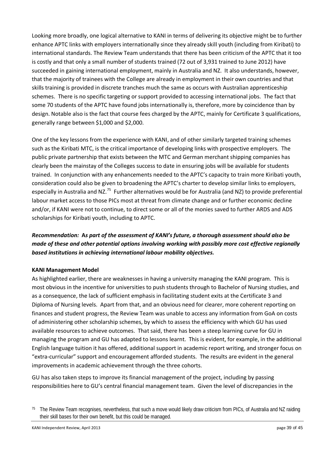Looking more broadly, one logical alternative to KANI in terms of delivering its objective might be to further enhance APTC links with employers internationally since they already skill youth (including from Kiribati) to international standards. The Review Team understands that there has been criticism of the APTC that it too is costly and that only a small number of students trained (72 out of 3,931 trained to June 2012) have succeeded in gaining international employment, mainly in Australia and NZ. It also understands, however, that the majority of trainees with the College are already in employment in their own countries and that skills training is provided in discrete tranches much the same as occurs with Australian apprenticeship schemes. There is no specific targeting or support provided to accessing international jobs. The fact that some 70 students of the APTC have found jobs internationally is, therefore, more by coincidence than by design. Notable also is the fact that course fees charged by the APTC, mainly for Certificate 3 qualifications, generally range between \$1,000 and \$2,000.

One of the key lessons from the experience with KANI, and of other similarly targeted training schemes such as the Kiribati MTC, is the critical importance of developing links with prospective employers. The public private partnership that exists between the MTC and German merchant shipping companies has clearly been the mainstay of the Colleges success to date in ensuring jobs will be available for students trained. In conjunction with any enhancements needed to the APTC's capacity to train more Kiribati youth, consideration could also be given to broadening the APTC's charter to develop similar links to employers, especially in Australia and NZ.<sup>75</sup> Further alternatives would be for Australia (and NZ) to provide preferential labour market access to those PICs most at threat from climate change and or further economic decline and/or, if KANI were not to continue, to direct some or all of the monies saved to further ARDS and ADS scholarships for Kiribati youth, including to APTC.

# *Recommendation:* **A***s part of the assessment of KANI's future, a thorough assessment should also be made of these and other potential options involving working with possibly more cost effective regionally based institutions in achieving international labour mobility objectives.*

### **KANI Management Model**

As highlighted earlier, there are weaknesses in having a university managing the KANI program. This is most obvious in the incentive for universities to push students through to Bachelor of Nursing studies, and as a consequence, the lack of sufficient emphasis in facilitating student exits at the Certificate 3 and Diploma of Nursing levels. Apart from that, and an obvious need for clearer, more coherent reporting on finances and student progress, the Review Team was unable to access any information from GoA on costs of administering other scholarship schemes, by which to assess the efficiency with which GU has used available resources to achieve outcomes. That said, there has been a steep learning curve for GU in managing the program and GU has adapted to lessons learnt. This is evident, for example, in the additional English language tuition it has offered, additional support in academic report writing, and stronger focus on "extra-curricular" support and encouragement afforded students. The results are evident in the general improvements in academic achievement through the three cohorts.

GU has also taken steps to improve its financial management of the project, including by passing responsibilities here to GU's central financial management team. Given the level of discrepancies in the

<span id="page-38-0"></span><sup>&</sup>lt;sup>75</sup> The Review Team recognises, nevertheless, that such a move would likely draw criticism from PICs, of Australia and NZ raiding their skill bases for their own benefit, but this could be managed.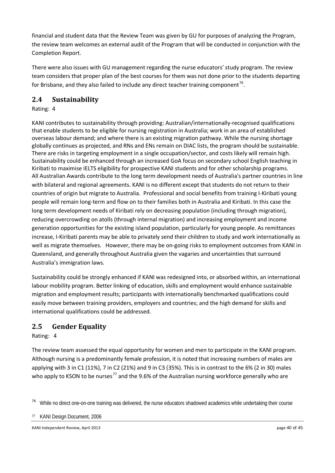financial and student data that the Review Team was given by GU for purposes of analyzing the Program, the review team welcomes an external audit of the Program that will be conducted in conjunction with the Completion Report.

There were also issues with GU management regarding the nurse educators' study program. The review team considers that proper plan of the best courses for them was not done prior to the students departing for Brisbane, and they also failed to include any direct teacher training component<sup>76</sup>.

# **2.4 Sustainability**

Rating: 4

KANI contributes to sustainability through providing: Australian/internationally-recognised qualifications that enable students to be eligible for nursing registration in Australia; work in an area of established overseas labour demand; and where there is an existing migration pathway. While the nursing shortage globally continues as projected, and RNs and ENs remain on DIAC lists, the program should be sustainable. There are risks in targeting employment in a single occupation/sector, and costs likely will remain high. Sustainability could be enhanced through an increased GoA focus on secondary school English teaching in Kiribati to maximise IELTS eligibility for prospective KANI students and for other scholarship programs. All Australian Awards contribute to the long term development needs of Australia's partner countries in line with bilateral and regional agreements. KANI is no different except that students do not return to their countries of origin but migrate to Australia. Professional and social benefits from training I-Kiribati young people will remain long-term and flow on to their families both in Australia and Kiribati. In this case the long term development needs of Kiribati rely on decreasing population (including through migration), reducing overcrowding on atolls (through internal migration) and increasing employment and income generation opportunities for the existing island population, particularly for young people. As remittances increase, I-Kiribati parents may be able to privately send their children to study and work internationally as well as migrate themselves. However, there may be on-going risks to employment outcomes from KANI in Queensland, and generally throughout Australia given the vagaries and uncertainties that surround Australia's immigration laws.

Sustainability could be strongly enhanced if KANI was redesigned into, or absorbed within, an international labour mobility program. Better linking of education, skills and employment would enhance sustainable migration and employment results; participants with internationally benchmarked qualifications could easily move between training providers, employers and countries; and the high demand for skills and international qualifications could be addressed.

# **2.5 Gender Equality**

Rating: 4

The review team assessed the equal opportunity for women and men to participate in the KANI program. Although nursing is a predominantly female profession, it is noted that increasing numbers of males are applying with 3 in C1 (11%), 7 in C2 (21%) and 9 in C3 (35%). This is in contrast to the 6% (2 in 30) males who apply to KSON to be nurses<sup>[77](#page-39-1)</sup> and the 9.6% of the Australian nursing workforce generally who are

<span id="page-39-0"></span><sup>&</sup>lt;sup>76</sup> While no direct one-on-one training was delivered, the nurse educators shadowed academics while undertaking their course

<span id="page-39-1"></span><sup>77</sup> KANI Design Document, 2006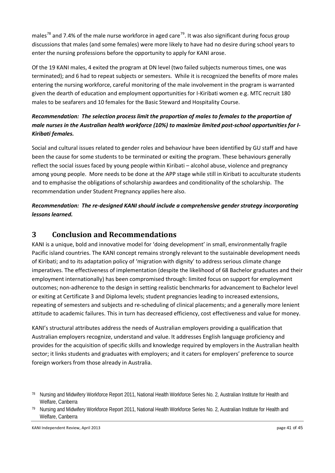males<sup>[78](#page-40-0)</sup> and 7.4% of the male nurse workforce in aged care<sup>[79](#page-40-1)</sup>. It was also significant during focus group discussions that males (and some females) were more likely to have had no desire during school years to enter the nursing professions before the opportunity to apply for KANI arose.

Of the 19 KANI males, 4 exited the program at DN level (two failed subjects numerous times, one was terminated); and 6 had to repeat subjects or semesters. While it is recognized the benefits of more males entering the nursing workforce, careful monitoring of the male involvement in the program is warranted given the dearth of education and employment opportunities for I-Kiribati women e.g. MTC recruit 180 males to be seafarers and 10 females for the Basic Steward and Hospitality Course.

# *Recommendation: The selection process limit the proportion of males to females to the proportion of male nurses in the Australian health workforce (10%) to maximize limited post-school opportunities for I-Kiribati females.*

Social and cultural issues related to gender roles and behaviour have been identified by GU staff and have been the cause for some students to be terminated or exiting the program. These behaviours generally reflect the social issues faced by young people within Kiribati – alcohol abuse, violence and pregnancy among young people. More needs to be done at the APP stage while still in Kiribati to acculturate students and to emphasise the obligations of scholarship awardees and conditionality of the scholarship. The recommendation under Student Pregnancy applies here also.

*Recommendation: The re-designed KANI should include a comprehensive gender strategy incorporating lessons learned.* 

# **3 Conclusion and Recommendations**

KANI is a unique, bold and innovative model for 'doing development' in small, environmentally fragile Pacific island countries. The KANI concept remains strongly relevant to the sustainable development needs of Kiribati; and to its adaptation policy of 'migration with dignity' to address serious climate change imperatives. The effectiveness of implementation (despite the likelihood of 68 Bachelor graduates and their employment internationally) has been compromised through: limited focus on support for employment outcomes; non-adherence to the design in setting realistic benchmarks for advancement to Bachelor level or exiting at Certificate 3 and Diploma levels; student pregnancies leading to increased extensions, repeating of semesters and subjects and re-scheduling of clinical placements; and a generally more lenient attitude to academic failures. This in turn has decreased efficiency, cost effectiveness and value for money.

KANI's structural attributes address the needs of Australian employers providing a qualification that Australian employers recognize, understand and value. It addresses English language proficiency and provides for the acquisition of specific skills and knowledge required by employers in the Australian health sector; it links students and graduates with employers; and it caters for employers' preference to source foreign workers from those already in Australia.

<span id="page-40-0"></span><sup>78</sup> Nursing and Midwifery Workforce Report 2011, National Health Workforce Series No. 2, Australian Institute for Health and Welfare, Canberra

<span id="page-40-1"></span><sup>79</sup> Nursing and Midwifery Workforce Report 2011, National Health Workforce Series No. 2, Australian Institute for Health and Welfare, Canberra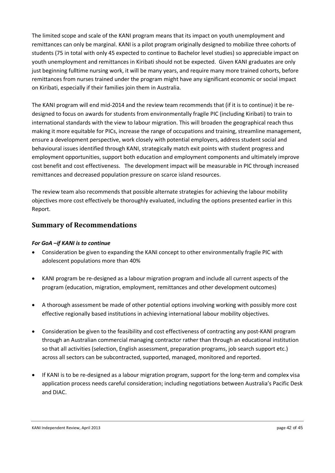The limited scope and scale of the KANI program means that its impact on youth unemployment and remittances can only be marginal. KANI is a pilot program originally designed to mobilize three cohorts of students (75 in total with only 45 expected to continue to Bachelor level studies) so appreciable impact on youth unemployment and remittances in Kiribati should not be expected.Given KANI graduates are only just beginning fulltime nursing work, it will be many years, and require many more trained cohorts, before remittances from nurses trained under the program might have any significant economic or social impact on Kiribati, especially if their families join them in Australia.

The KANI program will end mid-2014 and the review team recommends that (if it is to continue) it be redesigned to focus on awards for students from environmentally fragile PIC (including Kiribati) to train to international standards with the view to labour migration. This will broaden the geographical reach thus making it more equitable for PICs, increase the range of occupations and training, streamline management, ensure a development perspective, work closely with potential employers, address student social and behavioural issues identified through KANI, strategically match exit points with student progress and employment opportunities, support both education and employment components and ultimately improve cost benefit and cost effectiveness. The development impact will be measurable in PIC through increased remittances and decreased population pressure on scarce island resources.

The review team also recommends that possible alternate strategies for achieving the labour mobility objectives more cost effectively be thoroughly evaluated, including the options presented earlier in this Report.

# **Summary of Recommendations**

### *For GoA –if KANI is to continue*

- Consideration be given to expanding the KANI concept to other environmentally fragile PIC with adolescent populations more than 40%
- KANI program be re-designed as a labour migration program and include all current aspects of the program (education, migration, employment, remittances and other development outcomes)
- A thorough assessment be made of other potential options involving working with possibly more cost effective regionally based institutions in achieving international labour mobility objectives.
- Consideration be given to the feasibility and cost effectiveness of contracting any post-KANI program through an Australian commercial managing contractor rather than through an educational institution so that all activities (selection, English assessment, preparation programs, job search support etc.) across all sectors can be subcontracted, supported, managed, monitored and reported.
- If KANI is to be re-designed as a labour migration program, support for the long-term and complex visa application process needs careful consideration; including negotiations between Australia's Pacific Desk and DIAC.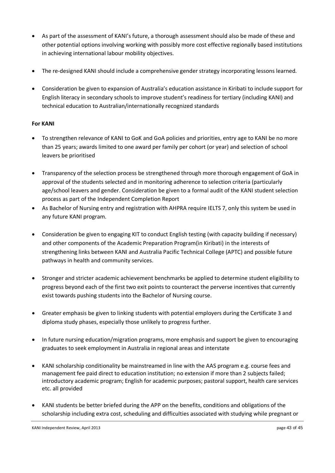- As part of the assessment of KANI's future, a thorough assessment should also be made of these and other potential options involving working with possibly more cost effective regionally based institutions in achieving international labour mobility objectives.
- The re-designed KANI should include a comprehensive gender strategy incorporating lessons learned.
- Consideration be given to expansion of Australia's education assistance in Kiribati to include support for English literacy in secondary schools to improve student's readiness for tertiary (including KANI) and technical education to Australian/internationally recognized standards

### **For KANI**

- To strengthen relevance of KANI to GoK and GoA policies and priorities, entry age to KANI be no more than 25 years; awards limited to one award per family per cohort (or year) and selection of school leavers be prioritised
- Transparency of the selection process be strengthened through more thorough engagement of GoA in approval of the students selected and in monitoring adherence to selection criteria (particularly age/school leavers and gender. Consideration be given to a formal audit of the KANI student selection process as part of the Independent Completion Report
- As Bachelor of Nursing entry and registration with AHPRA require IELTS 7, only this system be used in any future KANI program.
- Consideration be given to engaging KIT to conduct English testing (with capacity building if necessary) and other components of the Academic Preparation Program(in Kiribati) in the interests of strengthening links between KANI and Australia Pacific Technical College (APTC) and possible future pathways in health and community services.
- Stronger and stricter academic achievement benchmarks be applied to determine student eligibility to progress beyond each of the first two exit points to counteract the perverse incentives that currently exist towards pushing students into the Bachelor of Nursing course.
- Greater emphasis be given to linking students with potential employers during the Certificate 3 and diploma study phases, especially those unlikely to progress further.
- In future nursing education/migration programs, more emphasis and support be given to encouraging graduates to seek employment in Australia in regional areas and interstate
- KANI scholarship conditionality be mainstreamed in line with the AAS program e.g. course fees and management fee paid direct to education institution; no extension if more than 2 subjects failed; introductory academic program; English for academic purposes; pastoral support, health care services etc. all provided
- KANI students be better briefed during the APP on the benefits, conditions and obligations of the scholarship including extra cost, scheduling and difficulties associated with studying while pregnant or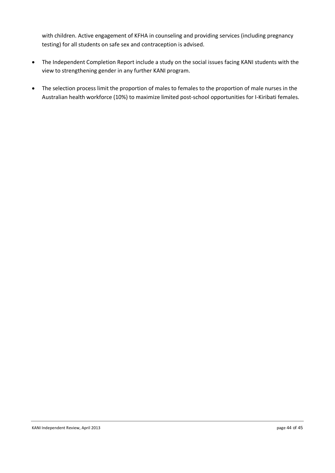with children. Active engagement of KFHA in counseling and providing services (including pregnancy testing) for all students on safe sex and contraception is advised.

- The Independent Completion Report include a study on the social issues facing KANI students with the view to strengthening gender in any further KANI program.
- The selection process limit the proportion of males to females to the proportion of male nurses in the Australian health workforce (10%) to maximize limited post-school opportunities for I-Kiribati females.